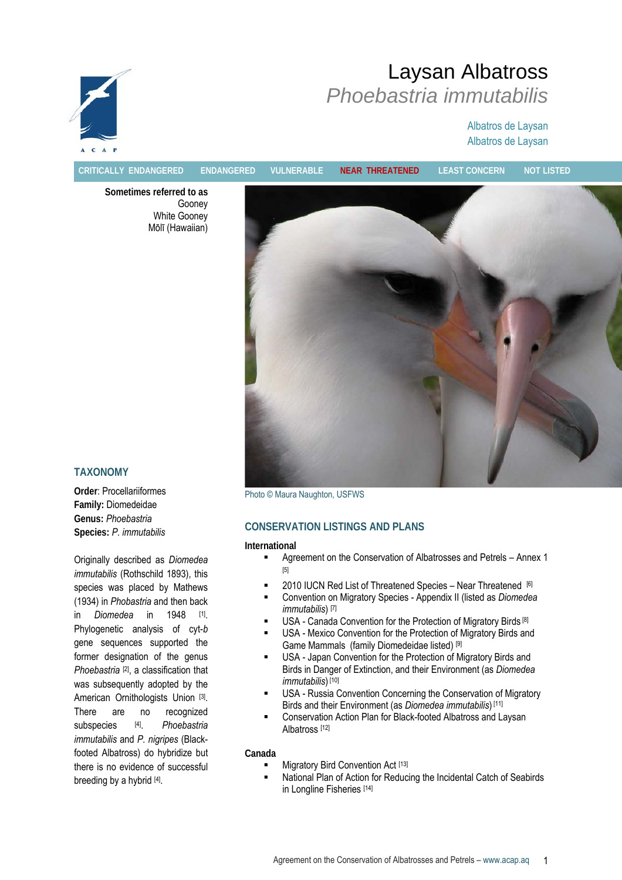### Albatros de Laysan Albatros de Laysan



**CRITICALLY ENDANGERED ENDANGERED VULNERABLE NEAR THREATENED LEAST CONCERN NOT LISTED**

**Sometimes referred to as**  Gooney White Gooney Mōlī (Hawaiian)



### **TAXONOMY**

**Order**: Procellariiformes **Family:** Diomedeidae **Genus:** *Phoebastria* **Species:** *P. immutabilis*

Originally described as *Diomedea immutabilis* (Rothschild 1893), this species was placed by Mathews (1934) in *Phobastria* and then back in *Diomedea* in 1948 [1]. Phylogenetic analysis of cyt-*b* gene sequences supported the former designation of the genus *Phoebastria* [2], a classification that was subsequently adopted by the American Ornithologists Union [3]. There are no recognized subspecies [4]. *Phoebastria immutabilis* and *P. nigripes* (Blackfooted Albatross) do hybridize but there is no evidence of successful breeding by a hybrid [4].

Photo © Maura Naughton, USFWS

### **CONSERVATION LISTINGS AND PLANS**

#### **International**

- Agreement on the Conservation of Albatrosses and Petrels Annex 1 [5]
- 2010 IUCN Red List of Threatened Species Near Threatened [6]
- Convention on Migratory Species Appendix II (listed as *Diomedea immutabilis*) [7]
- USA Canada Convention for the Protection of Migratory Birds [8]
- USA Mexico Convention for the Protection of Migratory Birds and Game Mammals (family Diomedeidae listed) [9]
- USA Japan Convention for the Protection of Migratory Birds and Birds in Danger of Extinction, and their Environment (as *Diomedea immutabilis*)<sup>[10]</sup>
- USA Russia Convention Concerning the Conservation of Migratory Birds and their Environment (as *Diomedea immutabilis*) [11]
- Conservation Action Plan for Black-footed Albatross and Laysan Albatross [12]

#### **Canada**

- Migratory Bird Convention Act [13]
- National Plan of Action for Reducing the Incidental Catch of Seabirds in Longline Fisheries [14]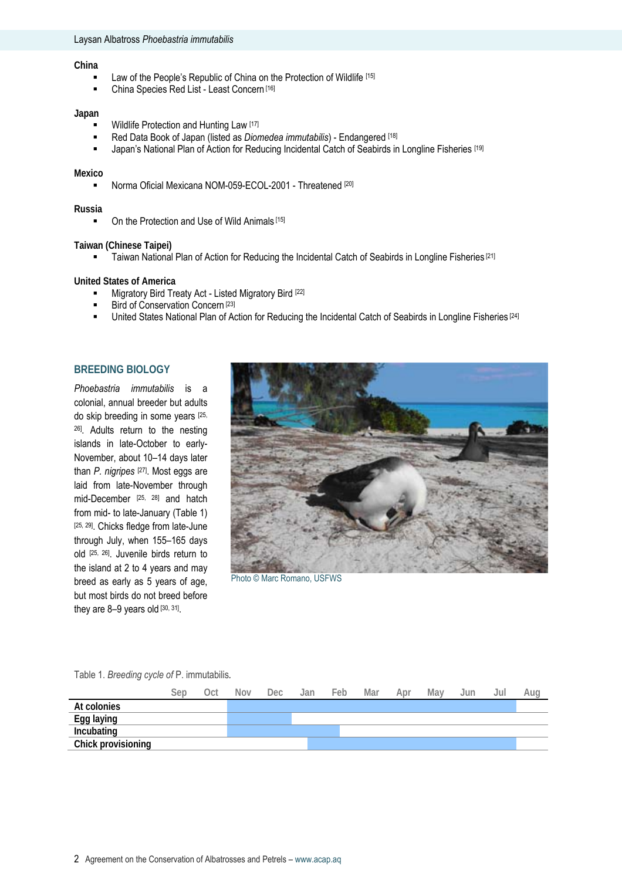#### **China**

- Law of the People's Republic of China on the Protection of Wildlife [15]
- China Species Red List Least Concern<sup>[16]</sup>

#### **Japan**

- Wildlife Protection and Hunting Law [17]
- Red Data Book of Japan (listed as *Diomedea immutabilis*) Endangered [18]
- **Japan's National Plan of Action for Reducing Incidental Catch of Seabirds in Longline Fisheries** [19]

#### **Mexico**

Norma Oficial Mexicana NOM-059-ECOL-2001 - Threatened [20]

#### **Russia**

• On the Protection and Use of Wild Animals [15]

**Taiwan (Chinese Taipei)** 

■ Taiwan National Plan of Action for Reducing the Incidental Catch of Seabirds in Longline Fisheries<sup>[21]</sup>

#### **United States of America**

- Migratory Bird Treaty Act Listed Migratory Bird [22]
- Bird of Conservation Concern<sup>[23]</sup>
- United States National Plan of Action for Reducing the Incidental Catch of Seabirds in Longline Fisheries [24]

### **BREEDING BIOLOGY**

*Phoebastria immutabilis* is a colonial, annual breeder but adults do skip breeding in some years [25, 26]. Adults return to the nesting islands in late-October to early-November, about 10–14 days later than *P. nigripes* [27]. Most eggs are laid from late-November through mid-December [25, 28] and hatch from mid- to late-January (Table 1) [25, 29]. Chicks fledge from late-June through July, when 155–165 days old [25, 26]. Juvenile birds return to the island at 2 to 4 years and may breed as early as 5 years of age, but most birds do not breed before they are  $8-9$  years old  $[30, 31]$ .



Photo © Marc Romano, USFWS

Table 1. *Breeding cycle of* P. immutabilis*.* 

|                    | Ser | Jct | <b>Nov</b> | Dec | Jan | Feb | Mar | Apr | Mav | Jun | Jul | Aug |
|--------------------|-----|-----|------------|-----|-----|-----|-----|-----|-----|-----|-----|-----|
| At colonies        |     |     |            |     |     |     |     |     |     |     |     |     |
| Egg laying         |     |     |            |     |     |     |     |     |     |     |     |     |
| Incubating         |     |     |            |     |     |     |     |     |     |     |     |     |
| Chick provisioning |     |     |            |     |     |     |     |     |     |     |     |     |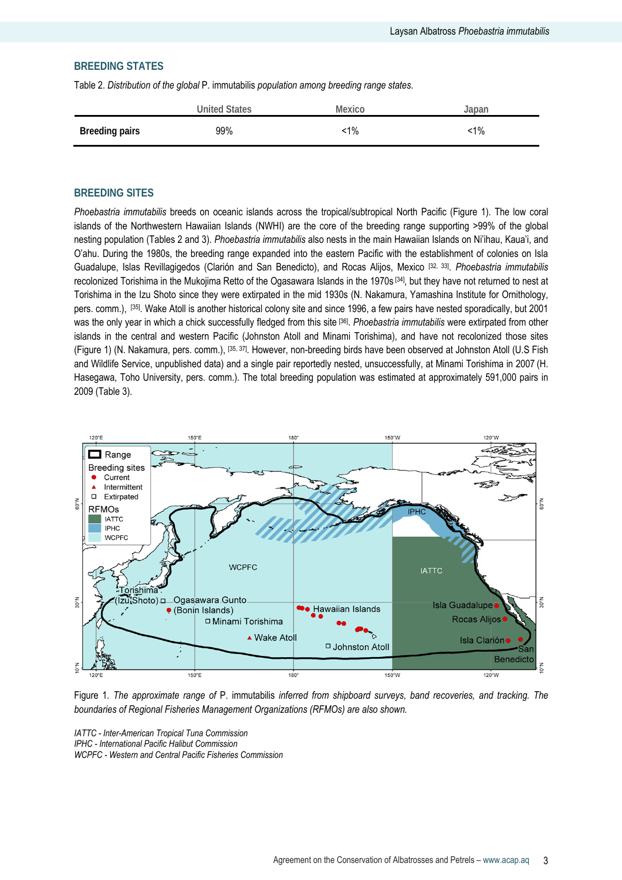### **BREEDING STATES**

Table 2. *Distribution of the global* P. immutabilis *population among breeding range states*.

|                       | <b>United States</b> | Mexico | Japan |
|-----------------------|----------------------|--------|-------|
| <b>Breeding pairs</b> | 99%                  | 1%     | ำ%    |

### **BREEDING SITES**

*Phoebastria immutabilis* breeds on oceanic islands across the tropical/subtropical North Pacific (Figure 1). The low coral islands of the Northwestern Hawaiian Islands (NWHI) are the core of the breeding range supporting >99% of the global nesting population (Tables 2 and 3). *Phoebastria immutabilis* also nests in the main Hawaiian Islands on Ni'ihau, Kaua'i, and O'ahu. During the 1980s, the breeding range expanded into the eastern Pacific with the establishment of colonies on Isla Guadalupe, Islas Revillagigedos (Clarión and San Benedicto), and Rocas Alijos, Mexico [32, 33]. *Phoebastria immutabilis* recolonized Torishima in the Mukojima Retto of the Ogasawara Islands in the 1970s [34], but they have not returned to nest at Torishima in the Izu Shoto since they were extirpated in the mid 1930s (N. Nakamura, Yamashina Institute for Ornithology, pers. comm.), [35]. Wake Atoll is another historical colony site and since 1996, a few pairs have nested sporadically, but 2001 was the only year in which a chick successfully fledged from this site [36]. *Phoebastria immutabilis* were extirpated from other islands in the central and western Pacific (Johnston Atoll and Minami Torishima), and have not recolonized those sites (Figure 1) (N. Nakamura, pers. comm.), [35, 37]. However, non-breeding birds have been observed at Johnston Atoll (U.S Fish and Wildlife Service, unpublished data) and a single pair reportedly nested, unsuccessfully, at Minami Torishima in 2007 (H. Hasegawa, Toho University, pers. comm.). The total breeding population was estimated at approximately 591,000 pairs in 2009 (Table 3).



Figure 1*. The approximate range of* P. immutabilis *inferred from shipboard surveys, band recoveries, and tracking. The boundaries of Regional Fisheries Management Organizations (RFMOs) are also shown.* 

*IATTC - Inter-American Tropical Tuna Commission IPHC - International Pacific Halibut Commission WCPFC - Western and Central Pacific Fisheries Commission*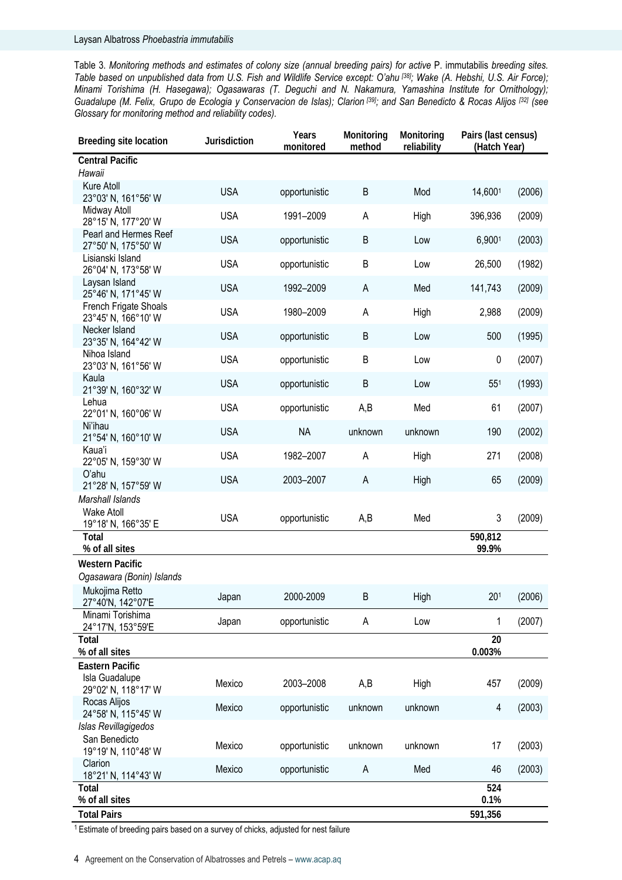Table 3. *Monitoring methods and estimates of colony size (annual breeding pairs) for active* P. immutabilis *breeding sites. Table based on unpublished data from U.S. Fish and Wildlife Service except: O'ahu [38]; Wake (A. Hebshi, U.S. Air Force); Minami Torishima (H. Hasegawa); Ogasawaras (T. Deguchi and N. Nakamura, Yamashina Institute for Ornithology); Guadalupe (M. Felix, Grupo de Ecologia y Conservacion de Islas); Clarion [39]; and San Benedicto & Rocas Alijos [32] (see Glossary for monitoring method and reliability codes).*

| <b>Breeding site location</b>                                | Jurisdiction | Years<br>monitored | Monitoring<br>method | Monitoring<br>reliability | Pairs (last census)<br>(Hatch Year) |        |
|--------------------------------------------------------------|--------------|--------------------|----------------------|---------------------------|-------------------------------------|--------|
| <b>Central Pacific</b><br>Hawaii                             |              |                    |                      |                           |                                     |        |
| Kure Atoll<br>23°03' N, 161°56' W                            | <b>USA</b>   | opportunistic      | $\sf B$              | Mod                       | 14,6001                             | (2006) |
| Midway Atoll<br>28°15' N, 177°20' W                          | <b>USA</b>   | 1991-2009          | $\mathsf A$          | High                      | 396,936                             | (2009) |
| Pearl and Hermes Reef<br>27°50' N, 175°50' W                 | <b>USA</b>   | opportunistic      | B                    | Low                       | 6,9001                              | (2003) |
| Lisianski Island<br>26°04' N, 173°58' W                      | <b>USA</b>   | opportunistic      | $\sf B$              | Low                       | 26,500                              | (1982) |
| Laysan Island<br>25°46' N, 171°45' W                         | <b>USA</b>   | 1992-2009          | A                    | Med                       | 141,743                             | (2009) |
| French Frigate Shoals<br>23°45' N, 166°10' W                 | <b>USA</b>   | 1980-2009          | $\mathsf A$          | High                      | 2,988                               | (2009) |
| Necker Island<br>23°35' N, 164°42' W                         | <b>USA</b>   | opportunistic      | $\sf B$              | Low                       | 500                                 | (1995) |
| Nihoa Island<br>23°03' N, 161°56' W                          | <b>USA</b>   | opportunistic      | $\sf B$              | Low                       | 0                                   | (2007) |
| Kaula<br>21°39' N, 160°32' W                                 | <b>USA</b>   | opportunistic      | B                    | Low                       | $55^{1}$                            | (1993) |
| Lehua<br>22°01' N, 160°06' W                                 | <b>USA</b>   | opportunistic      | A,B                  | Med                       | 61                                  | (2007) |
| Ni'ihau<br>21°54' N, 160°10' W                               | <b>USA</b>   | <b>NA</b>          | unknown              | unknown                   | 190                                 | (2002) |
| Kaua'i<br>22°05' N, 159°30' W                                | <b>USA</b>   | 1982-2007          | A                    | High                      | 271                                 | (2008) |
| O'ahu<br>21°28' N, 157°59' W                                 | <b>USA</b>   | 2003-2007          | A                    | High                      | 65                                  | (2009) |
| Marshall Islands<br><b>Wake Atoll</b><br>19°18' N, 166°35' E | <b>USA</b>   | opportunistic      | A,B                  | Med                       | 3                                   | (2009) |
| Total<br>% of all sites                                      |              |                    |                      |                           | 590,812<br>99.9%                    |        |
| <b>Western Pacific</b><br>Ogasawara (Bonin) Islands          |              |                    |                      |                           |                                     |        |
| Mukojima Retto<br>27°40'N, 142°07'E                          | Japan        | 2000-2009          | B                    | High                      | 20 <sup>1</sup>                     | (2006) |
| Minami Torishima<br>24°17'N, 153°59'E                        | Japan        | opportunistic      | Α                    | Low                       | 1                                   | (2007) |
| Total<br>% of all sites                                      |              |                    |                      |                           | 20<br>0.003%                        |        |
| <b>Eastern Pacific</b><br>Isla Guadalupe                     | Mexico       | 2003-2008          | A,B                  | High                      | 457                                 | (2009) |
| 29°02' N, 118°17' W<br>Rocas Alijos                          | Mexico       | opportunistic      | unknown              | unknown                   | 4                                   | (2003) |
| 24°58' N, 115°45' W<br>Islas Revillagigedos                  |              |                    |                      |                           |                                     |        |
| San Benedicto<br>19°19' N, 110°48' W                         | Mexico       | opportunistic      | unknown              | unknown                   | 17                                  | (2003) |
| Clarion<br>18°21' N, 114°43' W                               | Mexico       | opportunistic      | A                    | Med                       | 46                                  | (2003) |
| Total<br>% of all sites                                      |              |                    |                      |                           | 524<br>0.1%                         |        |
| <b>Total Pairs</b>                                           |              |                    |                      |                           | 591,356                             |        |

1 Estimate of breeding pairs based on a survey of chicks, adjusted for nest failure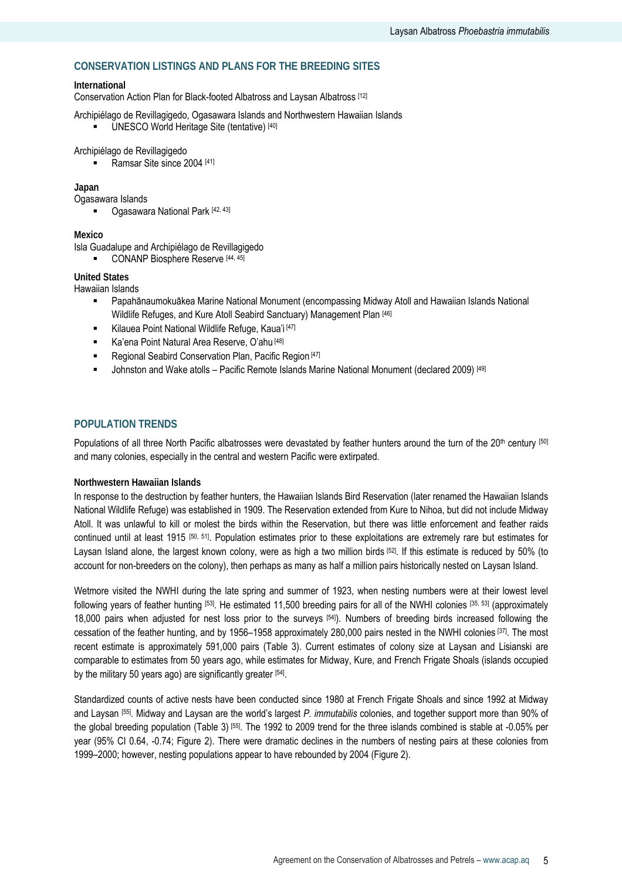### **CONSERVATION LISTINGS AND PLANS FOR THE BREEDING SITES**

#### **International**

Conservation Action Plan for Black-footed Albatross and Laysan Albatross [12]

Archipiélago de Revillagigedo, Ogasawara Islands and Northwestern Hawaiian Islands

UNESCO World Heritage Site (tentative) [40]

Archipiélago de Revillagigedo

Ramsar Site since 2004 [41]

**Japan** 

Ogasawara Islands

Ogasawara National Park [42, 43]

**Mexico** 

Isla Guadalupe and Archipiélago de Revillagigedo

CONANP Biosphere Reserve [44, 45]

**United States** 

Hawaiian Islands

- Papahānaumokuākea Marine National Monument (encompassing Midway Atoll and Hawaiian Islands National Wildlife Refuges, and Kure Atoll Seabird Sanctuary) Management Plan [46]
- Kilauea Point National Wildlife Refuge, Kaua'i [47]
- Ka'ena Point Natural Area Reserve, O'ahu<sup>[48]</sup>
- **Regional Seabird Conservation Plan, Pacific Region [47]**
- Johnston and Wake atolls Pacific Remote Islands Marine National Monument (declared 2009) [49]

#### **POPULATION TRENDS**

Populations of all three North Pacific albatrosses were devastated by feather hunters around the turn of the 20<sup>th</sup> century [50] and many colonies, especially in the central and western Pacific were extirpated.

#### **Northwestern Hawaiian Islands**

In response to the destruction by feather hunters, the Hawaiian Islands Bird Reservation (later renamed the Hawaiian Islands National Wildlife Refuge) was established in 1909. The Reservation extended from Kure to Nihoa, but did not include Midway Atoll. It was unlawful to kill or molest the birds within the Reservation, but there was little enforcement and feather raids continued until at least 1915 [50, 51]. Population estimates prior to these exploitations are extremely rare but estimates for Laysan Island alone, the largest known colony, were as high a two million birds [52]. If this estimate is reduced by 50% (to account for non-breeders on the colony), then perhaps as many as half a million pairs historically nested on Laysan Island.

Wetmore visited the NWHI during the late spring and summer of 1923, when nesting numbers were at their lowest level following years of feather hunting [53]. He estimated 11,500 breeding pairs for all of the NWHI colonies [35, 53] (approximately 18,000 pairs when adjusted for nest loss prior to the surveys [54]). Numbers of breeding birds increased following the cessation of the feather hunting, and by 1956–1958 approximately 280,000 pairs nested in the NWHI colonies [37]. The most recent estimate is approximately 591,000 pairs (Table 3). Current estimates of colony size at Laysan and Lisianski are comparable to estimates from 50 years ago, while estimates for Midway, Kure, and French Frigate Shoals (islands occupied by the military 50 years ago) are significantly greater [54].

Standardized counts of active nests have been conducted since 1980 at French Frigate Shoals and since 1992 at Midway and Laysan [55]. Midway and Laysan are the world's largest *P. immutabilis* colonies, and together support more than 90% of the global breeding population (Table 3) [55]. The 1992 to 2009 trend for the three islands combined is stable at -0.05% per year (95% CI 0.64, -0.74; Figure 2). There were dramatic declines in the numbers of nesting pairs at these colonies from 1999–2000; however, nesting populations appear to have rebounded by 2004 (Figure 2).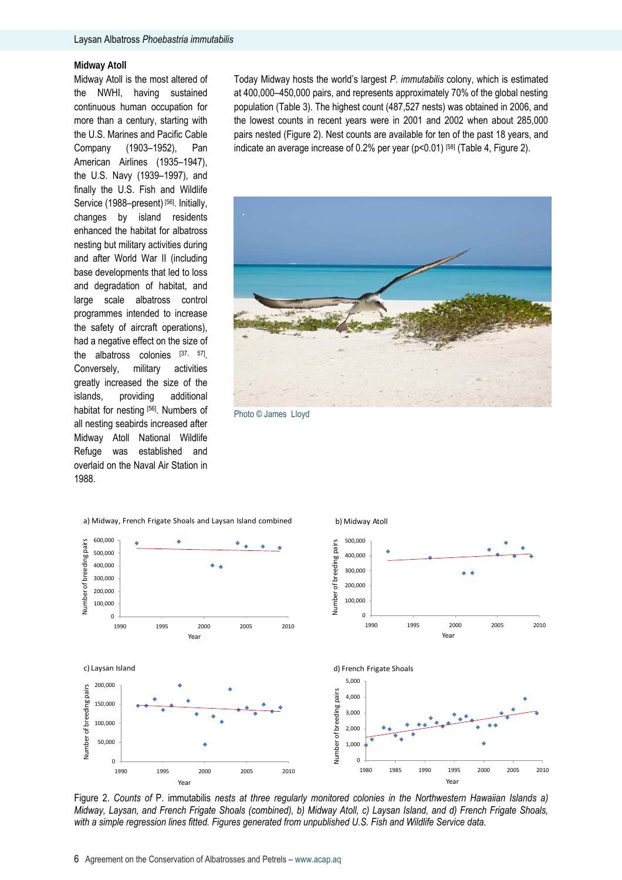#### **Midway Atoll**

Midway Atoll is the most altered of the NWHI, having sustained continuous human occupation for more than a century, starting with the U.S. Marines and Pacific Cable Company (1903–1952), Pan American Airlines (1935–1947), the U.S. Navy (1939–1997), and finally the U.S. Fish and Wildlife Service (1988–present) [56]. Initially, changes by island residents enhanced the habitat for albatross nesting but military activities during and after World War II (including base developments that led to loss and degradation of habitat, and large scale albatross control programmes intended to increase the safety of aircraft operations), had a negative effect on the size of the albatross colonies [37, 57]. Conversely, military activities greatly increased the size of the islands, providing additional habitat for nesting [56]. Numbers of all nesting seabirds increased after Midway Atoll National Wildlife Refuge was established and overlaid on the Naval Air Station in 1988.

Today Midway hosts the world's largest *P. immutabilis* colony, which is estimated at 400,000–450,000 pairs, and represents approximately 70% of the global nesting population (Table 3). The highest count (487,527 nests) was obtained in 2006, and the lowest counts in recent years were in 2001 and 2002 when about 285,000 pairs nested (Figure 2). Nest counts are available for ten of the past 18 years, and indicate an average increase of 0.2% per year (p<0.01) [58] (Table 4, Figure 2).



Photo © James Lloyd



Figure 2. *Counts of* P. immutabilis *nests at three regularly monitored colonies in the Northwestern Hawaiian Islands a) Midway, Laysan, and French Frigate Shoals (combined), b) Midway Atoll, c) Laysan Island, and d) French Frigate Shoals, with a simple regression lines fitted. Figures generated from unpublished U.S. Fish and Wildlife Service data.*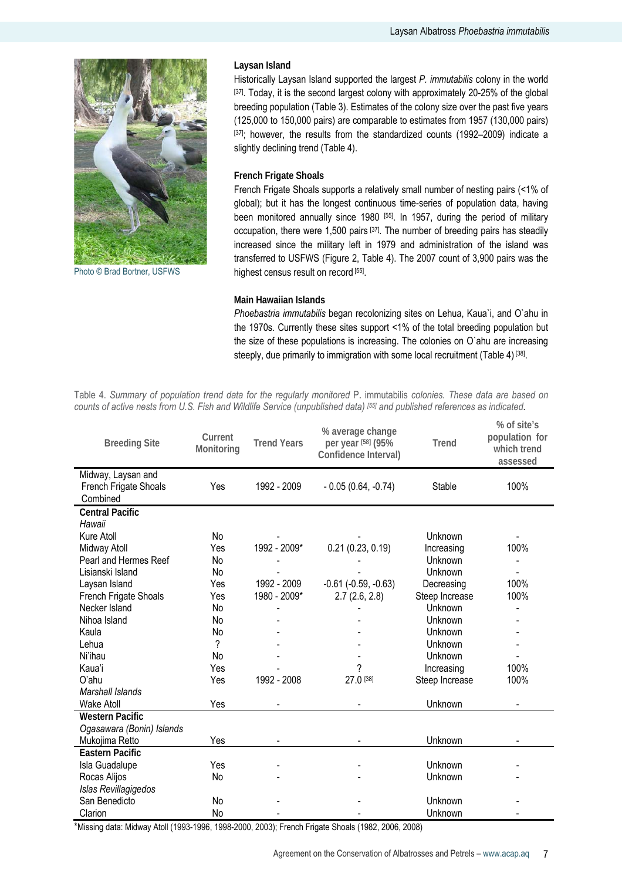

Photo © Brad Bortner, USFWS

#### **Laysan Island**

Historically Laysan Island supported the largest *P. immutabilis* colony in the world [37]. Today, it is the second largest colony with approximately 20-25% of the global breeding population (Table 3). Estimates of the colony size over the past five years (125,000 to 150,000 pairs) are comparable to estimates from 1957 (130,000 pairs)  $[37]$ ; however, the results from the standardized counts (1992–2009) indicate a slightly declining trend (Table 4).

#### **French Frigate Shoals**

French Frigate Shoals supports a relatively small number of nesting pairs (<1% of global); but it has the longest continuous time-series of population data, having been monitored annually since 1980 [55]. In 1957, during the period of military occupation, there were 1,500 pairs [37]. The number of breeding pairs has steadily increased since the military left in 1979 and administration of the island was transferred to USFWS (Figure 2, Table 4). The 2007 count of 3,900 pairs was the highest census result on record [55].

#### **Main Hawaiian Islands**

*Phoebastria immutabilis* began recolonizing sites on Lehua, Kaua`i, and O`ahu in the 1970s. Currently these sites support <1% of the total breeding population but the size of these populations is increasing. The colonies on O`ahu are increasing steeply, due primarily to immigration with some local recruitment (Table 4) [38].

Table 4. *Summary of population trend data for the regularly monitored* P. immutabilis *colonies. These data are based on counts of active nests from U.S. Fish and Wildlife Service (unpublished data) [55] and published references as indicated.* 

| <b>Breeding Site</b>                                    | Current<br>Monitoring | <b>Trend Years</b> | % average change<br>per year [58] (95%<br>Confidence Interval) | <b>Trend</b>   | % of site's<br>population for<br>which trend<br>assessed |
|---------------------------------------------------------|-----------------------|--------------------|----------------------------------------------------------------|----------------|----------------------------------------------------------|
| Midway, Laysan and<br>French Frigate Shoals<br>Combined | Yes                   | 1992 - 2009        | $-0.05(0.64, -0.74)$                                           | Stable         | 100%                                                     |
| <b>Central Pacific</b><br>Hawaii                        |                       |                    |                                                                |                |                                                          |
| Kure Atoll                                              | No                    |                    |                                                                | Unknown        |                                                          |
| Midway Atoll                                            | Yes                   | 1992 - 2009*       | 0.21(0.23, 0.19)                                               | Increasing     | 100%                                                     |
| Pearl and Hermes Reef                                   | No                    |                    |                                                                | Unknown        |                                                          |
| Lisianski Island                                        | No                    |                    |                                                                | Unknown        | $\overline{\phantom{a}}$                                 |
| Laysan Island                                           | Yes                   | 1992 - 2009        | $-0.61$ $(-0.59, -0.63)$                                       | Decreasing     | 100%                                                     |
| French Frigate Shoals                                   | Yes                   | 1980 - 2009*       | 2.7(2.6, 2.8)                                                  | Steep Increase | 100%                                                     |
| Necker Island                                           | No                    |                    |                                                                | Unknown        |                                                          |
| Nihoa Island                                            | No                    |                    |                                                                | Unknown        |                                                          |
| Kaula                                                   | No                    |                    |                                                                | Unknown        |                                                          |
| Lehua                                                   | ?                     |                    |                                                                | Unknown        |                                                          |
| Ni'ihau                                                 | No                    |                    |                                                                | Unknown        |                                                          |
| Kaua'i                                                  | Yes                   |                    | $\overline{\phantom{a}}$                                       | Increasing     | 100%                                                     |
| O'ahu                                                   | Yes                   | 1992 - 2008        | 27.0 [38]                                                      | Steep Increase | 100%                                                     |
| <b>Marshall Islands</b>                                 |                       |                    |                                                                |                |                                                          |
| <b>Wake Atoll</b>                                       | Yes                   |                    |                                                                | Unknown        |                                                          |
| <b>Western Pacific</b>                                  |                       |                    |                                                                |                |                                                          |
| Ogasawara (Bonin) Islands                               |                       |                    |                                                                |                |                                                          |
| Mukojima Retto                                          | Yes                   |                    |                                                                | Unknown        |                                                          |
| Eastern Pacific                                         |                       |                    |                                                                |                |                                                          |
| Isla Guadalupe                                          | Yes                   |                    |                                                                | Unknown        |                                                          |
| Rocas Alijos                                            | No                    |                    |                                                                | Unknown        |                                                          |
| Islas Revillagigedos                                    |                       |                    |                                                                |                |                                                          |
| San Benedicto                                           | No                    |                    |                                                                | Unknown        |                                                          |
| Clarion                                                 | No                    |                    |                                                                | Unknown        |                                                          |

\*Missing data: Midway Atoll (1993-1996, 1998-2000, 2003); French Frigate Shoals (1982, 2006, 2008)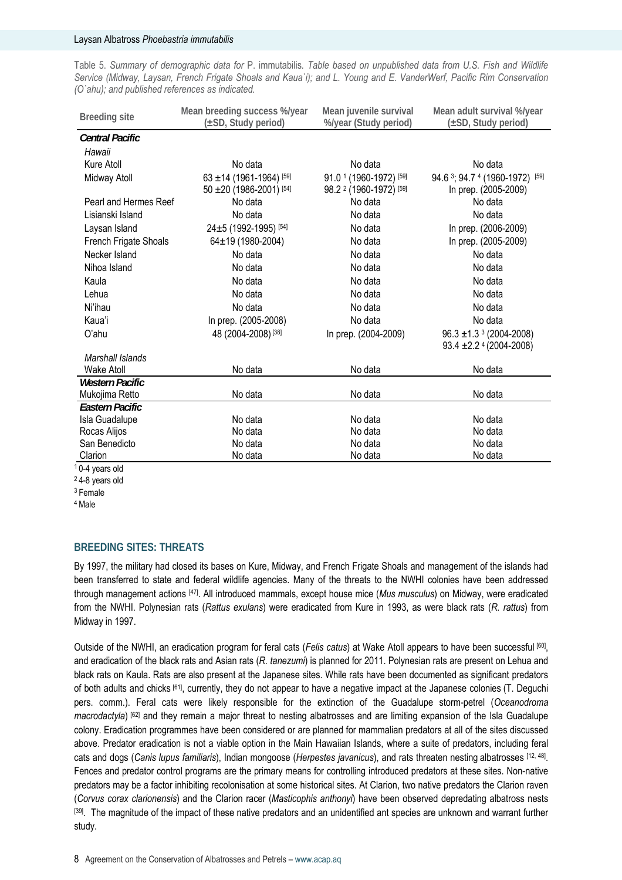Table 5. *Summary of demographic data for* P. immutabilis*. Table based on unpublished data from U.S. Fish and Wildlife Service (Midway, Laysan, French Frigate Shoals and Kaua`i); and L. Young and E. VanderWerf, Pacific Rim Conservation (O`ahu); and published references as indicated.* 

| <b>Breeding site</b>     | Mean breeding success %/year<br>(±SD, Study period) | Mean juvenile survival<br>%/year (Study period) | Mean adult survival %/year<br>(±SD, Study period) |
|--------------------------|-----------------------------------------------------|-------------------------------------------------|---------------------------------------------------|
| <b>Central Pacific</b>   |                                                     |                                                 |                                                   |
| Hawaii                   |                                                     |                                                 |                                                   |
| Kure Atoll               | No data                                             | No data                                         | No data                                           |
| Midway Atoll             | 63 ±14 (1961-1964) [59]                             | 91.0 1 (1960-1972) [59]                         | 94.6 3; 94.7 4 (1960-1972) [59]                   |
|                          | 50 ±20 (1986-2001) [54]                             | 98.2 <sup>2</sup> (1960-1972) [59]              | In prep. (2005-2009)                              |
| Pearl and Hermes Reef    | No data                                             | No data                                         | No data                                           |
| Lisianski Island         | No data                                             | No data                                         | No data                                           |
| Laysan Island            | 24±5 (1992-1995) [54]                               | No data                                         | In prep. (2006-2009)                              |
| French Frigate Shoals    | 64±19 (1980-2004)                                   | No data                                         | In prep. (2005-2009)                              |
| Necker Island            | No data                                             | No data                                         | No data                                           |
| Nihoa Island             | No data                                             | No data                                         | No data                                           |
| Kaula                    | No data                                             | No data                                         | No data                                           |
| Lehua                    | No data                                             | No data                                         | No data                                           |
| Ni'ihau                  | No data                                             | No data                                         | No data                                           |
| Kaua'i                   | In prep. (2005-2008)                                | No data                                         | No data                                           |
| O'ahu                    | 48 (2004-2008) [38]                                 | In prep. (2004-2009)                            | $96.3 \pm 1.3$ <sup>3</sup> (2004-2008)           |
|                          |                                                     |                                                 | $93.4 \pm 2.2$ <sup>4</sup> (2004-2008)           |
| Marshall Islands         |                                                     |                                                 |                                                   |
| <b>Wake Atoll</b>        | No data                                             | No data                                         | No data                                           |
| <b>Western Pacific</b>   |                                                     |                                                 |                                                   |
| Mukojima Retto           | No data                                             | No data                                         | No data                                           |
| Eastern Pacific          |                                                     |                                                 |                                                   |
| Isla Guadalupe           | No data                                             | No data                                         | No data                                           |
| Rocas Alijos             | No data                                             | No data                                         | No data                                           |
| San Benedicto<br>Clarion | No data<br>No data                                  | No data<br>No data                              | No data<br>No data                                |
| 0-4 years old            |                                                     |                                                 |                                                   |

2 4-8 years old

3 Female

4 Male

### **BREEDING SITES: THREATS**

By 1997, the military had closed its bases on Kure, Midway, and French Frigate Shoals and management of the islands had been transferred to state and federal wildlife agencies. Many of the threats to the NWHI colonies have been addressed through management actions [47]. All introduced mammals, except house mice (*Mus musculus*) on Midway, were eradicated from the NWHI. Polynesian rats (*Rattus exulans*) were eradicated from Kure in 1993, as were black rats (*R. rattus*) from Midway in 1997.

Outside of the NWHI, an eradication program for feral cats (*Felis catus*) at Wake Atoll appears to have been successful [60], and eradication of the black rats and Asian rats (*R. tanezumi*) is planned for 2011. Polynesian rats are present on Lehua and black rats on Kaula. Rats are also present at the Japanese sites. While rats have been documented as significant predators of both adults and chicks [61], currently, they do not appear to have a negative impact at the Japanese colonies (T. Deguchi pers. comm.). Feral cats were likely responsible for the extinction of the Guadalupe storm-petrel (*Oceanodroma macrodactyla*) [62] and they remain a major threat to nesting albatrosses and are limiting expansion of the Isla Guadalupe colony. Eradication programmes have been considered or are planned for mammalian predators at all of the sites discussed above. Predator eradication is not a viable option in the Main Hawaiian Islands, where a suite of predators, including feral cats and dogs (*Canis lupus familiaris*), Indian mongoose (*Herpestes javanicus*), and rats threaten nesting albatrosses [12, 48]. Fences and predator control programs are the primary means for controlling introduced predators at these sites. Non-native predators may be a factor inhibiting recolonisation at some historical sites. At Clarion, two native predators the Clarion raven (*Corvus corax clarionensis*) and the Clarion racer (*Masticophis anthonyi*) have been observed depredating albatross nests [39]. The magnitude of the impact of these native predators and an unidentified ant species are unknown and warrant further study.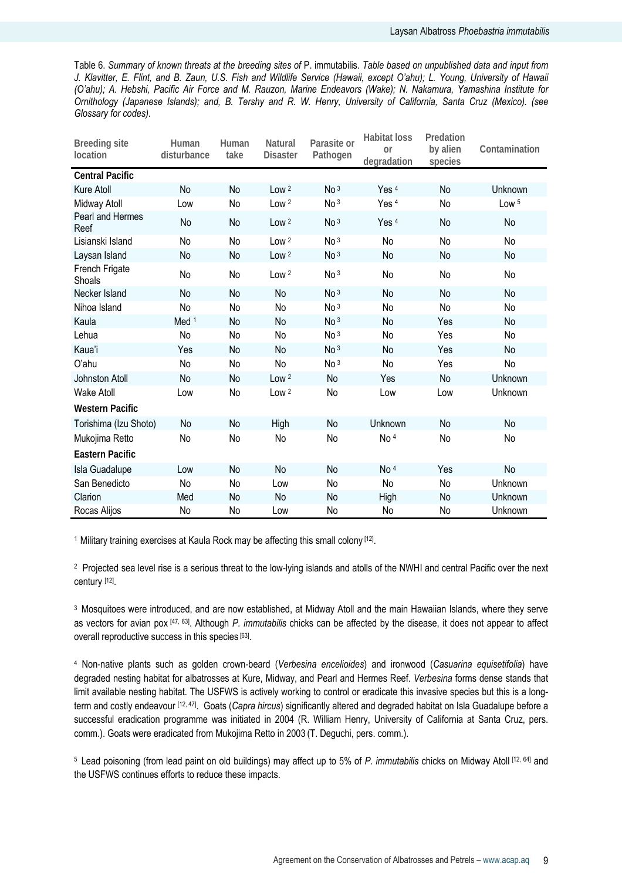Table 6. *Summary of known threats at the breeding sites of* P. immutabilis*. Table based on unpublished data and input from J. Klavitter, E. Flint, and B. Zaun, U.S. Fish and Wildlife Service (Hawaii, except O'ahu); L. Young, University of Hawaii (O'ahu); A. Hebshi, Pacific Air Force and M. Rauzon, Marine Endeavors (Wake); N. Nakamura, Yamashina Institute for Ornithology (Japanese Islands); and, B. Tershy and R. W. Henry, University of California, Santa Cruz (Mexico). (see Glossary for codes).* 

| <b>Breeding site</b><br>location | Human<br>disturbance | Human<br>take | Natural<br><b>Disaster</b> | Parasite or<br>Pathogen | <b>Habitat loss</b><br>or<br>degradation | Predation<br>by alien<br>species | Contamination    |
|----------------------------------|----------------------|---------------|----------------------------|-------------------------|------------------------------------------|----------------------------------|------------------|
| <b>Central Pacific</b>           |                      |               |                            |                         |                                          |                                  |                  |
| Kure Atoll                       | <b>No</b>            | No            | Low <sup>2</sup>           | No <sup>3</sup>         | Yes <sup>4</sup>                         | No                               | Unknown          |
| Midway Atoll                     | Low                  | No            | Low <sub>2</sub>           | No <sub>3</sub>         | Yes <sup>4</sup>                         | No                               | Low <sub>5</sub> |
| Pearl and Hermes<br>Reef         | No                   | No            | Low <sub>2</sub>           | No <sup>3</sup>         | Yes <sup>4</sup>                         | No                               | <b>No</b>        |
| Lisianski Island                 | No                   | No            | Low <sup>2</sup>           | No <sub>3</sub>         | No                                       | No                               | No               |
| Laysan Island                    | No                   | No            | Low <sub>2</sub>           | No <sub>3</sub>         | No                                       | No                               | No               |
| French Frigate<br>Shoals         | No                   | No            | Low <sub>2</sub>           | No <sup>3</sup>         | No                                       | No                               | No               |
| Necker Island                    | No                   | No            | No                         | No <sup>3</sup>         | No                                       | No                               | No               |
| Nihoa Island                     | No                   | No            | No                         | No <sup>3</sup>         | No                                       | No                               | No               |
| Kaula                            | Med $1$              | No            | No                         | No <sup>3</sup>         | No                                       | Yes                              | No               |
| Lehua                            | No                   | No            | No                         | No <sub>3</sub>         | No                                       | Yes                              | No               |
| Kaua'i                           | Yes                  | No            | <b>No</b>                  | No <sup>3</sup>         | No                                       | Yes                              | <b>No</b>        |
| O'ahu                            | No                   | No            | No                         | No <sup>3</sup>         | No                                       | Yes                              | No               |
| Johnston Atoll                   | <b>No</b>            | No            | Low <sup>2</sup>           | No                      | Yes                                      | No                               | Unknown          |
| <b>Wake Atoll</b>                | Low                  | No            | Low <sup>2</sup>           | No                      | Low                                      | Low                              | Unknown          |
| <b>Western Pacific</b>           |                      |               |                            |                         |                                          |                                  |                  |
| Torishima (Izu Shoto)            | No                   | No            | High                       | No                      | Unknown                                  | No                               | No               |
| Mukojima Retto                   | No                   | No            | No                         | No                      | No <sup>4</sup>                          | No                               | No               |
| <b>Eastern Pacific</b>           |                      |               |                            |                         |                                          |                                  |                  |
| Isla Guadalupe                   | Low                  | No            | No                         | No                      | No <sup>4</sup>                          | Yes                              | No               |
| San Benedicto                    | No                   | No            | Low                        | No                      | No                                       | No                               | Unknown          |
| Clarion                          | Med                  | No            | No                         | No                      | High                                     | No                               | Unknown          |
| Rocas Alijos                     | No                   | No            | Low                        | No                      | No                                       | No                               | Unknown          |

<sup>1</sup> Military training exercises at Kaula Rock may be affecting this small colony [12].

<sup>2</sup> Projected sea level rise is a serious threat to the low-lying islands and atolls of the NWHI and central Pacific over the next century [12].

<sup>3</sup> Mosquitoes were introduced, and are now established, at Midway Atoll and the main Hawaiian Islands, where they serve as vectors for avian pox [47, 63]. Although *P. immutabilis* chicks can be affected by the disease, it does not appear to affect overall reproductive success in this species [63].

4 Non-native plants such as golden crown-beard (*Verbesina encelioides*) and ironwood (*Casuarina equisetifolia*) have degraded nesting habitat for albatrosses at Kure, Midway, and Pearl and Hermes Reef. *Verbesina* forms dense stands that limit available nesting habitat. The USFWS is actively working to control or eradicate this invasive species but this is a longterm and costly endeavour [12, 47]. Goats (*Capra hircus*) significantly altered and degraded habitat on Isla Guadalupe before a successful eradication programme was initiated in 2004 (R. William Henry, University of California at Santa Cruz, pers. comm.). Goats were eradicated from Mukojima Retto in 2003 (T. Deguchi, pers. comm.).

5 Lead poisoning (from lead paint on old buildings) may affect up to 5% of *P. immutabilis* chicks on Midway Atoll [12, 64] and the USFWS continues efforts to reduce these impacts.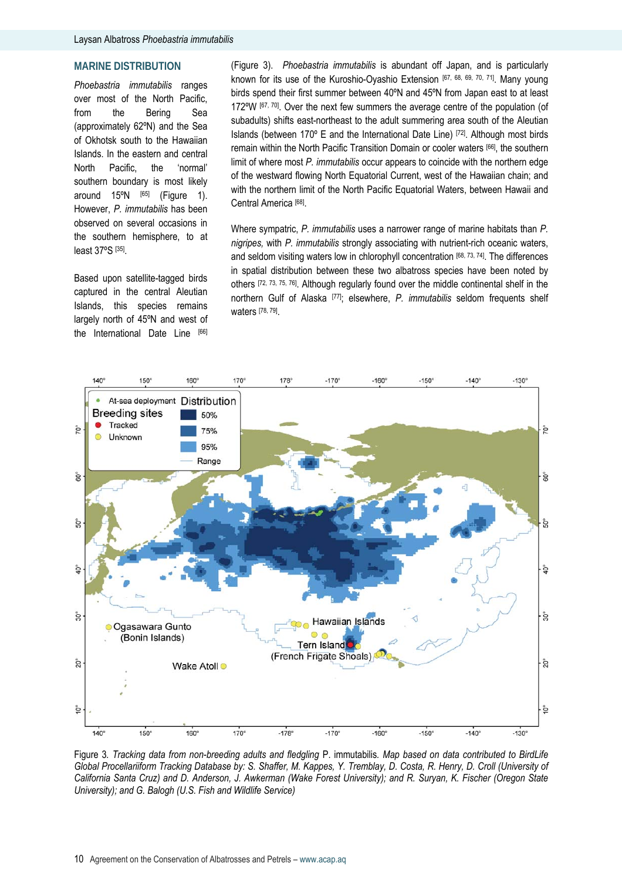### **MARINE DISTRIBUTION**

*Phoebastria immutabilis* ranges over most of the North Pacific, from the Bering Sea (approximately 62ºN) and the Sea of Okhotsk south to the Hawaiian Islands. In the eastern and central North Pacific, the 'normal' southern boundary is most likely around  $15^{\circ}N$   $^{[65]}$  (Figure 1). However, *P. immutabilis* has been observed on several occasions in the southern hemisphere, to at least 37ºS [35].

Based upon satellite-tagged birds captured in the central Aleutian Islands, this species remains largely north of 45ºN and west of the International Date Line [66] (Figure 3). *Phoebastria immutabilis* is abundant off Japan, and is particularly known for its use of the Kuroshio-Oyashio Extension [67, 68, 69, 70, 71]. Many young birds spend their first summer between 40ºN and 45ºN from Japan east to at least 172ºW [67, 70]. Over the next few summers the average centre of the population (of subadults) shifts east-northeast to the adult summering area south of the Aleutian Islands (between 170º E and the International Date Line) [72]. Although most birds remain within the North Pacific Transition Domain or cooler waters [66], the southern limit of where most *P. immutabilis* occur appears to coincide with the northern edge of the westward flowing North Equatorial Current, west of the Hawaiian chain; and with the northern limit of the North Pacific Equatorial Waters, between Hawaii and Central America [68].

Where sympatric, *P. immutabilis* uses a narrower range of marine habitats than *P. nigripes,* with *P. immutabilis* strongly associating with nutrient-rich oceanic waters, and seldom visiting waters low in chlorophyll concentration [68, 73, 74]. The differences in spatial distribution between these two albatross species have been noted by others [72, 73, 75, 76]. Although regularly found over the middle continental shelf in the northern Gulf of Alaska [77]; elsewhere, *P. immutabilis* seldom frequents shelf waters [78, 79].



Figure 3*. Tracking data from non-breeding adults and fledgling* P. immutabilis*. Map based on data contributed to BirdLife Global Procellariiform Tracking Database by: S. Shaffer, M. Kappes, Y. Tremblay, D. Costa, R. Henry, D. Croll (University of California Santa Cruz) and D. Anderson, J. Awkerman (Wake Forest University); and R. Suryan, K. Fischer (Oregon State University); and G. Balogh (U.S. Fish and Wildlife Service)*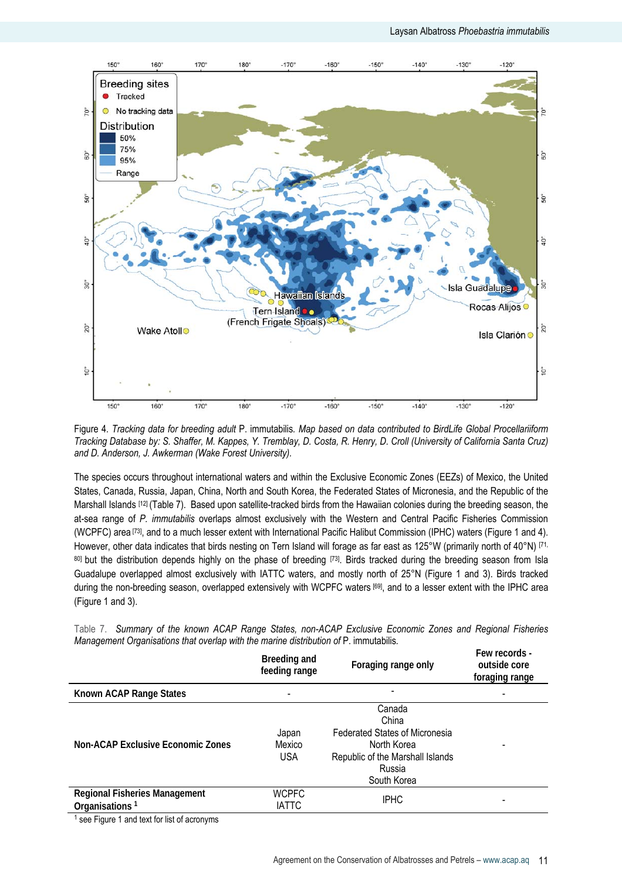

Figure 4*. Tracking data for breeding adult* P. immutabilis*. Map based on data contributed to BirdLife Global Procellariiform Tracking Database by: S. Shaffer, M. Kappes, Y. Tremblay, D. Costa, R. Henry, D. Croll (University of California Santa Cruz) and D. Anderson, J. Awkerman (Wake Forest University).* 

The species occurs throughout international waters and within the Exclusive Economic Zones (EEZs) of Mexico, the United States, Canada, Russia, Japan, China, North and South Korea, the Federated States of Micronesia, and the Republic of the Marshall Islands [12] (Table 7). Based upon satellite-tracked birds from the Hawaiian colonies during the breeding season, the at-sea range of *P. immutabilis* overlaps almost exclusively with the Western and Central Pacific Fisheries Commission (WCPFC) area [73], and to a much lesser extent with International Pacific Halibut Commission (IPHC) waters (Figure 1 and 4). However, other data indicates that birds nesting on Tern Island will forage as far east as 125°W (primarily north of 40°N) [71, 80] but the distribution depends highly on the phase of breeding [73]. Birds tracked during the breeding season from Isla Guadalupe overlapped almost exclusively with IATTC waters, and mostly north of 25°N (Figure 1 and 3). Birds tracked during the non-breeding season, overlapped extensively with WCPFC waters [69], and to a lesser extent with the IPHC area (Figure 1 and 3).

|                                             | Breeding and<br>feeding range | Foraging range only                   | Few records -<br>outside core<br>foraging range |
|---------------------------------------------|-------------------------------|---------------------------------------|-------------------------------------------------|
| Known ACAP Range States                     |                               |                                       |                                                 |
|                                             |                               | Canada                                |                                                 |
|                                             |                               | China                                 |                                                 |
|                                             | Japan                         | <b>Federated States of Micronesia</b> |                                                 |
| Non-ACAP Exclusive Economic Zones           | Mexico                        | North Korea                           |                                                 |
|                                             | <b>USA</b>                    | Republic of the Marshall Islands      |                                                 |
|                                             |                               | Russia                                |                                                 |
|                                             |                               | South Korea                           |                                                 |
| Regional Fisheries Management               | <b>WCPFC</b>                  |                                       |                                                 |
| Organisations <sup>1</sup>                  | <b>IATTC</b>                  | <b>IPHC</b>                           |                                                 |
| con Figure 1 and toyt for liet of acconvert |                               |                                       |                                                 |

Table 7. *Summary of the known ACAP Range States, non-ACAP Exclusive Economic Zones and Regional Fisheries Management Organisations that overlap with the marine distribution of* P. immutabilis*.* 

see Figure 1 and text for list of acronyms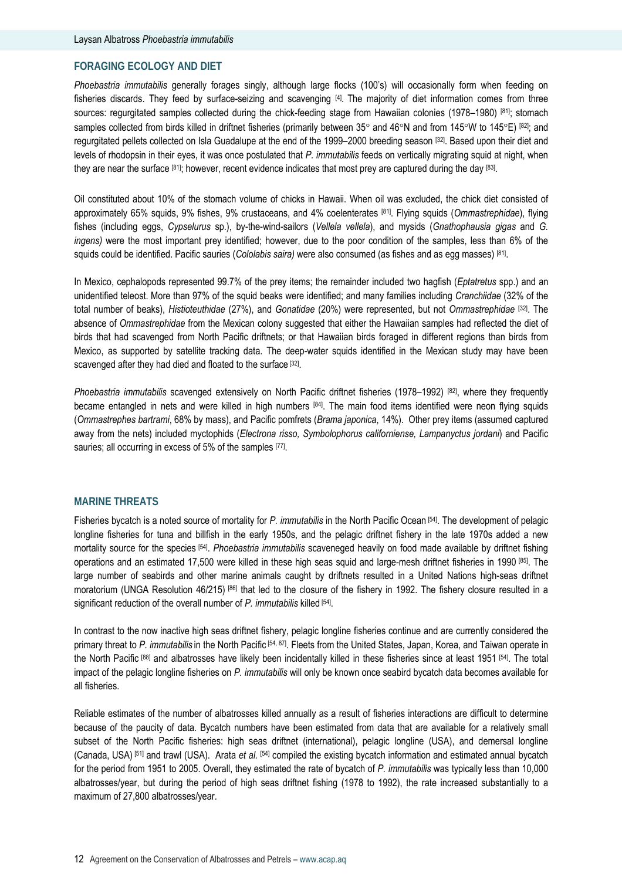### **FORAGING ECOLOGY AND DIET**

*Phoebastria immutabilis* generally forages singly, although large flocks (100's) will occasionally form when feeding on fisheries discards. They feed by surface-seizing and scavenging [4]. The majority of diet information comes from three sources: requrgitated samples collected during the chick-feeding stage from Hawaiian colonies (1978–1980) [81]; stomach samples collected from birds killed in driftnet fisheries (primarily between 35° and 46°N and from 145°W to 145°E) [82]; and regurgitated pellets collected on Isla Guadalupe at the end of the 1999–2000 breeding season [32]. Based upon their diet and levels of rhodopsin in their eyes, it was once postulated that *P. immutabilis* feeds on vertically migrating squid at night, when they are near the surface [81]; however, recent evidence indicates that most prey are captured during the day [83].

Oil constituted about 10% of the stomach volume of chicks in Hawaii. When oil was excluded, the chick diet consisted of approximately 65% squids, 9% fishes, 9% crustaceans, and 4% coelenterates [81]. Flying squids (*Ommastrephidae*), flying fishes (including eggs, *Cypselurus* sp.), by-the-wind-sailors (*Vellela vellela*), and mysids (*Gnathophausia gigas* and *G. ingens)* were the most important prey identified; however, due to the poor condition of the samples, less than 6% of the squids could be identified. Pacific sauries (*Cololabis saira)* were also consumed (as fishes and as egg masses) [81].

In Mexico, cephalopods represented 99.7% of the prey items; the remainder included two hagfish (*Eptatretus* spp.) and an unidentified teleost. More than 97% of the squid beaks were identified; and many families including *Cranchiidae* (32% of the total number of beaks), *Histioteuthidae* (27%), and *Gonatidae* (20%) were represented, but not *Ommastrephidae* [32]. The absence of *Ommastrephidae* from the Mexican colony suggested that either the Hawaiian samples had reflected the diet of birds that had scavenged from North Pacific driftnets; or that Hawaiian birds foraged in different regions than birds from Mexico, as supported by satellite tracking data. The deep-water squids identified in the Mexican study may have been scavenged after they had died and floated to the surface [32].

*Phoebastria immutabilis* scavenged extensively on North Pacific driftnet fisheries (1978–1992) [82], where they frequently became entangled in nets and were killed in high numbers [84]. The main food items identified were neon flying squids (*Ommastrephes bartrami*, 68% by mass), and Pacific pomfrets (*Brama japonica*, 14%). Other prey items (assumed captured away from the nets) included myctophids (*Electrona risso, Symbolophorus californiense, Lampanyctus jordani*) and Pacific sauries; all occurring in excess of 5% of the samples [77].

#### **MARINE THREATS**

Fisheries bycatch is a noted source of mortality for *P. immutabilis* in the North Pacific Ocean [54]. The development of pelagic longline fisheries for tuna and billfish in the early 1950s, and the pelagic driftnet fishery in the late 1970s added a new mortality source for the species [54]. *Phoebastria immutabilis* scaveneged heavily on food made available by driftnet fishing operations and an estimated 17,500 were killed in these high seas squid and large-mesh driftnet fisheries in 1990 [85]. The large number of seabirds and other marine animals caught by driftnets resulted in a United Nations high-seas driftnet moratorium (UNGA Resolution 46/215) [86] that led to the closure of the fishery in 1992. The fishery closure resulted in a significant reduction of the overall number of *P. immutabilis* killed [54].

In contrast to the now inactive high seas driftnet fishery, pelagic longline fisheries continue and are currently considered the primary threat to *P. immutabilis* in the North Pacific [54, 87]. Fleets from the United States, Japan, Korea, and Taiwan operate in the North Pacific [88] and albatrosses have likely been incidentally killed in these fisheries since at least 1951 [54]. The total impact of the pelagic longline fisheries on *P. immutabilis* will only be known once seabird bycatch data becomes available for all fisheries.

Reliable estimates of the number of albatrosses killed annually as a result of fisheries interactions are difficult to determine because of the paucity of data. Bycatch numbers have been estimated from data that are available for a relatively small subset of the North Pacific fisheries: high seas driftnet (international), pelagic longline (USA), and demersal longline (Canada, USA) [51] and trawl (USA). Arata *et al.* [54] compiled the existing bycatch information and estimated annual bycatch for the period from 1951 to 2005. Overall, they estimated the rate of bycatch of *P. immutabilis* was typically less than 10,000 albatrosses/year, but during the period of high seas driftnet fishing (1978 to 1992), the rate increased substantially to a maximum of 27,800 albatrosses/year.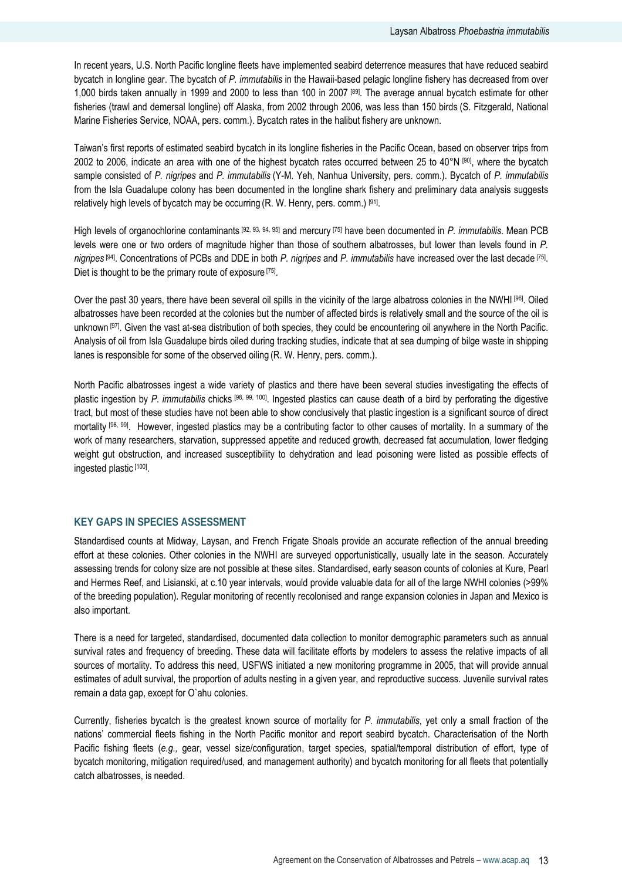In recent years, U.S. North Pacific longline fleets have implemented seabird deterrence measures that have reduced seabird bycatch in longline gear. The bycatch of *P. immutabilis* in the Hawaii-based pelagic longline fishery has decreased from over 1,000 birds taken annually in 1999 and 2000 to less than 100 in 2007 [89]. The average annual bycatch estimate for other fisheries (trawl and demersal longline) off Alaska, from 2002 through 2006, was less than 150 birds (S. Fitzgerald, National Marine Fisheries Service, NOAA, pers. comm.). Bycatch rates in the halibut fishery are unknown.

Taiwan's first reports of estimated seabird bycatch in its longline fisheries in the Pacific Ocean, based on observer trips from 2002 to 2006, indicate an area with one of the highest bycatch rates occurred between 25 to 40°N [90], where the bycatch sample consisted of *P. nigripes* and *P. immutabilis* (Y-M. Yeh, Nanhua University, pers. comm.). Bycatch of *P. immutabilis* from the Isla Guadalupe colony has been documented in the longline shark fishery and preliminary data analysis suggests relatively high levels of bycatch may be occurring (R. W. Henry, pers. comm.) [91].

High levels of organochlorine contaminants [92, 93, 94, 95] and mercury [75] have been documented in *P. immutabilis*. Mean PCB levels were one or two orders of magnitude higher than those of southern albatrosses, but lower than levels found in *P. nigripes* [94]. Concentrations of PCBs and DDE in both *P. nigripes* and *P. immutabilis* have increased over the last decade [75]. Diet is thought to be the primary route of exposure [75].

Over the past 30 years, there have been several oil spills in the vicinity of the large albatross colonies in the NWHI [96]. Oiled albatrosses have been recorded at the colonies but the number of affected birds is relatively small and the source of the oil is unknown [97]. Given the vast at-sea distribution of both species, they could be encountering oil anywhere in the North Pacific. Analysis of oil from Isla Guadalupe birds oiled during tracking studies, indicate that at sea dumping of bilge waste in shipping lanes is responsible for some of the observed oiling (R. W. Henry, pers. comm.).

North Pacific albatrosses ingest a wide variety of plastics and there have been several studies investigating the effects of plastic ingestion by *P. immutabilis* chicks [98, 99, 100]. Ingested plastics can cause death of a bird by perforating the digestive tract, but most of these studies have not been able to show conclusively that plastic ingestion is a significant source of direct mortality [98, 99]. However, ingested plastics may be a contributing factor to other causes of mortality. In a summary of the work of many researchers, starvation, suppressed appetite and reduced growth, decreased fat accumulation, lower fledging weight gut obstruction, and increased susceptibility to dehydration and lead poisoning were listed as possible effects of ingested plastic [100].

### **KEY GAPS IN SPECIES ASSESSMENT**

Standardised counts at Midway, Laysan, and French Frigate Shoals provide an accurate reflection of the annual breeding effort at these colonies. Other colonies in the NWHI are surveyed opportunistically, usually late in the season. Accurately assessing trends for colony size are not possible at these sites. Standardised, early season counts of colonies at Kure, Pearl and Hermes Reef, and Lisianski, at c.10 year intervals, would provide valuable data for all of the large NWHI colonies (>99% of the breeding population). Regular monitoring of recently recolonised and range expansion colonies in Japan and Mexico is also important.

There is a need for targeted, standardised, documented data collection to monitor demographic parameters such as annual survival rates and frequency of breeding. These data will facilitate efforts by modelers to assess the relative impacts of all sources of mortality. To address this need, USFWS initiated a new monitoring programme in 2005, that will provide annual estimates of adult survival, the proportion of adults nesting in a given year, and reproductive success. Juvenile survival rates remain a data gap, except for O`ahu colonies.

Currently, fisheries bycatch is the greatest known source of mortality for *P. immutabilis*, yet only a small fraction of the nations' commercial fleets fishing in the North Pacific monitor and report seabird bycatch. Characterisation of the North Pacific fishing fleets (*e.g.,* gear, vessel size/configuration, target species, spatial/temporal distribution of effort, type of bycatch monitoring, mitigation required/used, and management authority) and bycatch monitoring for all fleets that potentially catch albatrosses, is needed.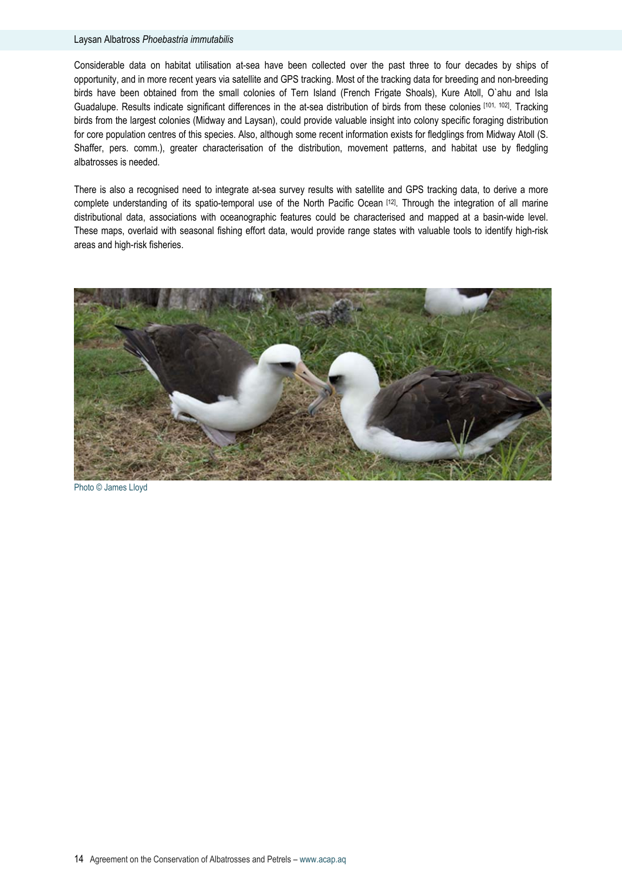Considerable data on habitat utilisation at-sea have been collected over the past three to four decades by ships of opportunity, and in more recent years via satellite and GPS tracking. Most of the tracking data for breeding and non-breeding birds have been obtained from the small colonies of Tern Island (French Frigate Shoals), Kure Atoll, O`ahu and Isla Guadalupe. Results indicate significant differences in the at-sea distribution of birds from these colonies [101, 102]. Tracking birds from the largest colonies (Midway and Laysan), could provide valuable insight into colony specific foraging distribution for core population centres of this species. Also, although some recent information exists for fledglings from Midway Atoll (S. Shaffer, pers. comm.), greater characterisation of the distribution, movement patterns, and habitat use by fledgling albatrosses is needed.

There is also a recognised need to integrate at-sea survey results with satellite and GPS tracking data, to derive a more complete understanding of its spatio-temporal use of the North Pacific Ocean [12]. Through the integration of all marine distributional data, associations with oceanographic features could be characterised and mapped at a basin-wide level. These maps, overlaid with seasonal fishing effort data, would provide range states with valuable tools to identify high-risk areas and high-risk fisheries.



Photo © James Lloyd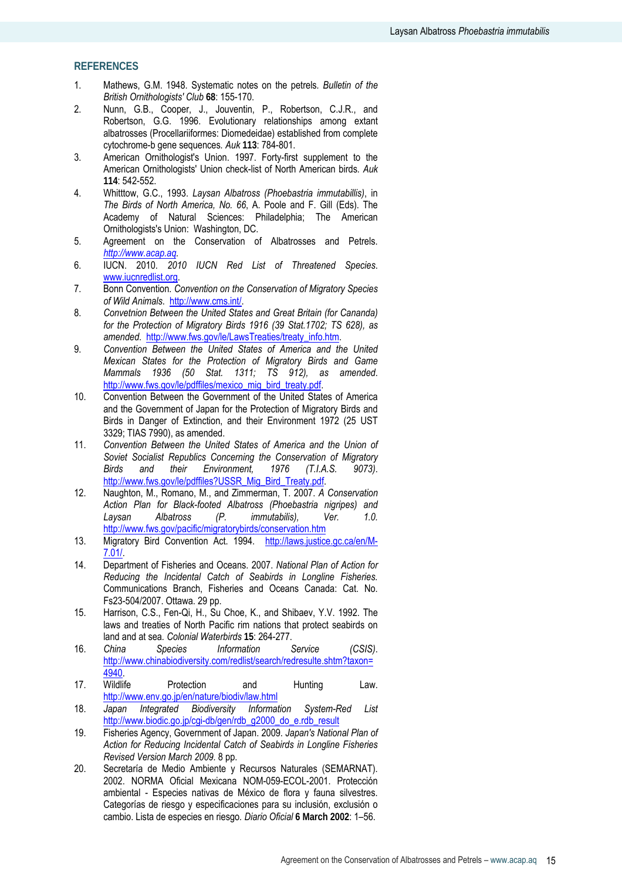#### **REFERENCES**

- 1. Mathews, G.M. 1948. Systematic notes on the petrels*. Bulletin of the British Ornithologists' Club* **68**: 155-170.
- 2. Nunn, G.B., Cooper, J., Jouventin, P., Robertson, C.J.R., and Robertson, G.G. 1996. Evolutionary relationships among extant albatrosses (Procellariiformes: Diomedeidae) established from complete cytochrome-b gene sequences*. Auk* **113**: 784-801.
- 3. American Ornithologist's Union. 1997. Forty-first supplement to the American Ornithologists' Union check-list of North American birds*. Auk* **114**: 542-552.
- 4. Whitttow, G.C., 1993. *Laysan Albatross (Phoebastria immutabillis)*, in *The Birds of North America, No. 66*, A. Poole and F. Gill (Eds). The Academy of Natural Sciences: Philadelphia; The American Ornithologists's Union: Washington, DC.
- 5. Agreement on the Conservation of Albatrosses and Petrels. *http://www.acap.aq.*
- 6. IUCN. 2010. *2010 IUCN Red List of Threatened Species*. www.iucnredlist.org.
- 7. Bonn Convention. *Convention on the Conservation of Migratory Species of Wild Animals*. http://www.cms.int/.
- 8. *Convetnion Between the United States and Great Britain (for Cananda) for the Protection of Migratory Birds 1916 (39 Stat.1702; TS 628), as amended*. http://www.fws.gov/le/LawsTreaties/treaty\_info.htm.
- 9. *Convention Between the United States of America and the United Mexican States for the Protection of Migratory Birds and Game Mammals 1936 (50 Stat. 1311; TS 912), as amended*. http://www.fws.gov/le/pdffiles/mexico\_mig\_bird\_treaty.pdf.
- 10. Convention Between the Government of the United States of America and the Government of Japan for the Protection of Migratory Birds and Birds in Danger of Extinction, and their Environment 1972 (25 UST 3329; TIAS 7990), as amended.
- 11. *Convention Between the United States of America and the Union of Soviet Socialist Republics Concerning the Conservation of Migratory Birds and their Environment, 1976 (T.I.A.S. 9073)*. http://www.fws.gov/le/pdffiles?USSR\_Mig\_Bird\_Treaty.pdf.
- 12. Naughton, M., Romano, M., and Zimmerman, T. 2007. *A Conservation Action Plan for Black-footed Albatross (Phoebastria nigripes) and Laysan Albatross (P. immutabilis), Ver. 1.0.* http://www.fws.gov/pacific/migratorybirds/conservation.htm
- 13. Migratory Bird Convention Act. 1994. http://laws.justice.gc.ca/en/M-7.01/.
- 14. Department of Fisheries and Oceans. 2007. *National Plan of Action for Reducing the Incidental Catch of Seabirds in Longline Fisheries.* Communications Branch, Fisheries and Oceans Canada: Cat. No. Fs23-504/2007. Ottawa. 29 pp.
- 15. Harrison, C.S., Fen-Qi, H., Su Choe, K., and Shibaev, Y.V. 1992. The laws and treaties of North Pacific rim nations that protect seabirds on land and at sea*. Colonial Waterbirds* **15**: 264-277.
- 16. *China Species Information Service (CSIS)*. http://www.chinabiodiversity.com/redlist/search/redresulte.shtm?taxon= 4940.
- 17. Wildlife Protection and Hunting Law. http://www.env.go.jp/en/nature/biodiv/law.html
- 18. *Japan Integrated Biodiversity Information System-Red List*  http://www.biodic.go.jp/cgi-db/gen/rdb\_g2000\_do\_e.rdb\_result
- 19. Fisheries Agency, Government of Japan. 2009. *Japan's National Plan of Action for Reducing Incidental Catch of Seabirds in Longline Fisheries Revised Version March 2009.* 8 pp.
- 20. Secretaría de Medio Ambiente y Recursos Naturales (SEMARNAT). 2002. NORMA Oficial Mexicana NOM-059-ECOL-2001. Protección ambiental - Especies nativas de México de flora y fauna silvestres. Categorías de riesgo y especificaciones para su inclusión, exclusión o cambio. Lista de especies en riesgo*. Diario Oficial* **6 March 2002**: 1–56.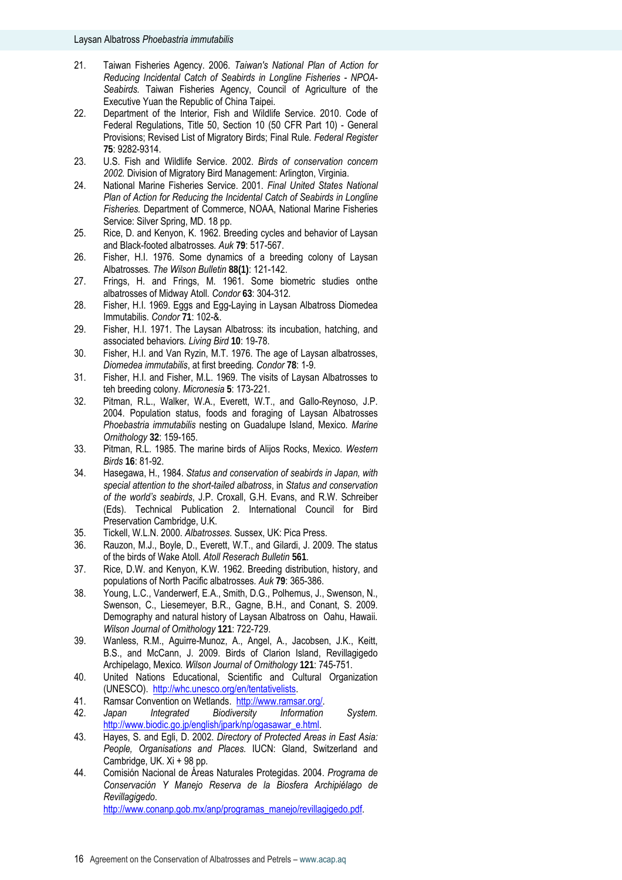- 21. Taiwan Fisheries Agency. 2006. *Taiwan's National Plan of Action for Reducing Incidental Catch of Seabirds in Longline Fisheries - NPOA-Seabirds.* Taiwan Fisheries Agency, Council of Agriculture of the Executive Yuan the Republic of China Taipei.
- 22. Department of the Interior, Fish and Wildlife Service. 2010. Code of Federal Regulations, Title 50, Section 10 (50 CFR Part 10) - General Provisions; Revised List of Migratory Birds; Final Rule*. Federal Register* **75**: 9282-9314.
- 23. U.S. Fish and Wildlife Service. 2002. *Birds of conservation concern 2002.* Division of Migratory Bird Management: Arlington, Virginia.
- 24. National Marine Fisheries Service. 2001. *Final United States National Plan of Action for Reducing the Incidental Catch of Seabirds in Longline Fisheries.* Department of Commerce, NOAA, National Marine Fisheries Service: Silver Spring, MD. 18 pp.
- 25. Rice, D. and Kenyon, K. 1962. Breeding cycles and behavior of Laysan and Black-footed albatrosses*. Auk* **79**: 517-567.
- 26. Fisher, H.I. 1976. Some dynamics of a breeding colony of Laysan Albatrosses*. The Wilson Bulletin* **88(1)**: 121-142.
- 27. Frings, H. and Frings, M. 1961. Some biometric studies onthe albatrosses of Midway Atoll*. Condor* **63**: 304-312.
- 28. Fisher, H.I. 1969. Eggs and Egg-Laying in Laysan Albatross Diomedea Immutabilis*. Condor* **71**: 102-&.
- 29. Fisher, H.I. 1971. The Laysan Albatross: its incubation, hatching, and associated behaviors*. Living Bird* **10**: 19-78.
- 30. Fisher, H.I. and Van Ryzin, M.T. 1976. The age of Laysan albatrosses, *Diomedea immutabilis*, at first breeding*. Condor* **78**: 1-9.
- 31. Fisher, H.I. and Fisher, M.L. 1969. The visits of Laysan Albatrosses to teh breeding colony*. Micronesia* **5**: 173-221.
- 32. Pitman, R.L., Walker, W.A., Everett, W.T., and Gallo-Reynoso, J.P. 2004. Population status, foods and foraging of Laysan Albatrosses *Phoebastria immutabilis* nesting on Guadalupe Island, Mexico*. Marine Ornithology* **32**: 159-165.
- 33. Pitman, R.L. 1985. The marine birds of Alijos Rocks, Mexico*. Western Birds* **16**: 81-92.
- 34. Hasegawa, H., 1984. *Status and conservation of seabirds in Japan, with special attention to the short-tailed albatross*, in *Status and conservation of the world's seabirds*, J.P. Croxall, G.H. Evans, and R.W. Schreiber (Eds). Technical Publication 2. International Council for Bird Preservation Cambridge, U.K.
- 35. Tickell, W.L.N. 2000. *Albatrosses*. Sussex, UK: Pica Press.
- 36. Rauzon, M.J., Boyle, D., Everett, W.T., and Gilardi, J. 2009. The status of the birds of Wake Atoll*. Atoll Reserach Bulletin* **561**.
- 37. Rice, D.W. and Kenyon, K.W. 1962. Breeding distribution, history, and populations of North Pacific albatrosses*. Auk* **79**: 365-386.
- 38. Young, L.C., Vanderwerf, E.A., Smith, D.G., Polhemus, J., Swenson, N., Swenson, C., Liesemeyer, B.R., Gagne, B.H., and Conant, S. 2009. Demography and natural history of Laysan Albatross on Oahu, Hawaii*. Wilson Journal of Ornithology* **121**: 722-729.
- 39. Wanless, R.M., Aguirre-Munoz, A., Angel, A., Jacobsen, J.K., Keitt, B.S., and McCann, J. 2009. Birds of Clarion Island, Revillagigedo Archipelago, Mexico*. Wilson Journal of Ornithology* **121**: 745-751.
- 40. United Nations Educational, Scientific and Cultural Organization (UNESCO). http://whc.unesco.org/en/tentativelists.
- 41. Ramsar Convention on Wetlands. http://www.ramsar.org/.
- 42. *Japan Integrated Biodiversity Information System.* http://www.biodic.go.jp/english/jpark/np/ogasawar\_e.html.
- 43. Hayes, S. and Egli, D. 2002. *Directory of Protected Areas in East Asia: People, Organisations and Places.* IUCN: Gland, Switzerland and Cambridge, UK. Xi + 98 pp.
- 44. Comisión Nacional de Áreas Naturales Protegidas. 2004. *Programa de Conservación Y Manejo Reserva de la Biosfera Archipiélago de Revillagigedo*.

http://www.conanp.gob.mx/anp/programas\_manejo/revillagigedo.pdf.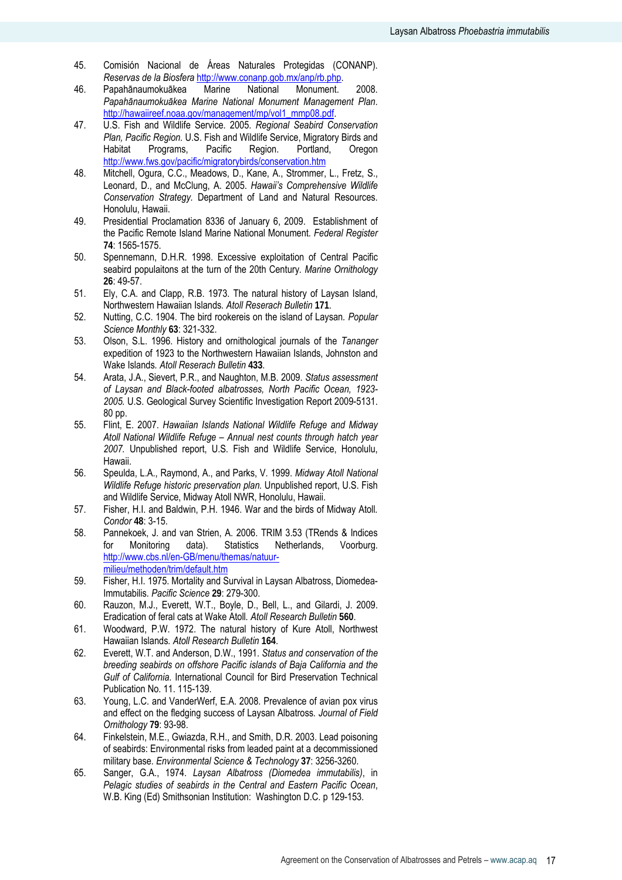- 45. Comisión Nacional de Áreas Naturales Protegidas (CONANP). *Reservas de la Biosfera* http://www.conanp.gob.mx/anp/rb.php.
- 46. Papahānaumokuākea Marine National Monument. 2008. *Papahānaumokuākea Marine National Monument Management Plan*. http://hawaiireef.noaa.gov/management/mp/vol1\_mmp08.pdf.
- 47. U.S. Fish and Wildlife Service. 2005. *Regional Seabird Conservation Plan, Pacific Region.* U.S. Fish and Wildlife Service, Migratory Birds and Habitat Programs, Pacific Region. Portland, Oregon http://www.fws.gov/pacific/migratorybirds/conservation.htm
- 48. Mitchell, Ogura, C.C., Meadows, D., Kane, A., Strommer, L., Fretz, S., Leonard, D., and McClung, A. 2005. *Hawaii's Comprehensive Wildlife Conservation Strategy.* Department of Land and Natural Resources. Honolulu, Hawaii.
- 49. Presidential Proclamation 8336 of January 6, 2009. Establishment of the Pacific Remote Island Marine National Monument*. Federal Register* **74**: 1565-1575.
- 50. Spennemann, D.H.R. 1998. Excessive exploitation of Central Pacific seabird populaitons at the turn of the 20th Century*. Marine Ornithology* **26**: 49-57.
- 51. Ely, C.A. and Clapp, R.B. 1973. The natural history of Laysan Island, Northwestern Hawaiian Islands*. Atoll Reserach Bulletin* **171**.
- 52. Nutting, C.C. 1904. The bird rookereis on the island of Laysan*. Popular Science Monthly* **63**: 321-332.
- 53. Olson, S.L. 1996. History and ornithological journals of the *Tananger* expedition of 1923 to the Northwestern Hawaiian Islands, Johnston and Wake Islands*. Atoll Reserach Bulletin* **433**.
- 54. Arata, J.A., Sievert, P.R., and Naughton, M.B. 2009. *Status assessment of Laysan and Black-footed albatrosses, North Pacific Ocean, 1923- 2005.* U.S. Geological Survey Scientific Investigation Report 2009-5131. 80 pp.
- 55. Flint, E. 2007. *Hawaiian Islands National Wildlife Refuge and Midway Atoll National Wildlife Refuge – Annual nest counts through hatch year 2007.* Unpublished report, U.S. Fish and Wildlife Service, Honolulu, Hawaii.
- 56. Speulda, L.A., Raymond, A., and Parks, V. 1999. *Midway Atoll National Wildlife Refuge historic preservation plan.* Unpublished report, U.S. Fish and Wildlife Service, Midway Atoll NWR, Honolulu, Hawaii.
- 57. Fisher, H.I. and Baldwin, P.H. 1946. War and the birds of Midway Atoll*. Condor* **48**: 3-15.
- 58. Pannekoek, J. and van Strien, A. 2006. TRIM 3.53 (TRends & Indices for Monitoring data). Statistics Netherlands, Voorburg. http://www.cbs.nl/en-GB/menu/themas/natuurmilieu/methoden/trim/default.htm
- 59. Fisher, H.I. 1975. Mortality and Survival in Laysan Albatross, Diomedea-Immutabilis*. Pacific Science* **29**: 279-300.
- 60. Rauzon, M.J., Everett, W.T., Boyle, D., Bell, L., and Gilardi, J. 2009. Eradication of feral cats at Wake Atoll*. Atoll Research Bulletin* **560**.
- 61. Woodward, P.W. 1972. The natural history of Kure Atoll, Northwest Hawaiian Islands*. Atoll Research Bulletin* **164**.
- 62. Everett, W.T. and Anderson, D.W., 1991. *Status and conservation of the breeding seabirds on offshore Pacific islands of Baja California and the Gulf of California*. International Council for Bird Preservation Technical Publication No. 11. 115-139.
- 63. Young, L.C. and VanderWerf, E.A. 2008. Prevalence of avian pox virus and effect on the fledging success of Laysan Albatross*. Journal of Field Ornithology* **79**: 93-98.
- 64. Finkelstein, M.E., Gwiazda, R.H., and Smith, D.R. 2003. Lead poisoning of seabirds: Environmental risks from leaded paint at a decommissioned military base*. Environmental Science & Technology* **37**: 3256-3260.
- 65. Sanger, G.A., 1974. *Laysan Albatross (Diomedea immutabilis)*, in *Pelagic studies of seabirds in the Central and Eastern Pacific Ocean*, W.B. King (Ed) Smithsonian Institution: Washington D.C. p 129-153.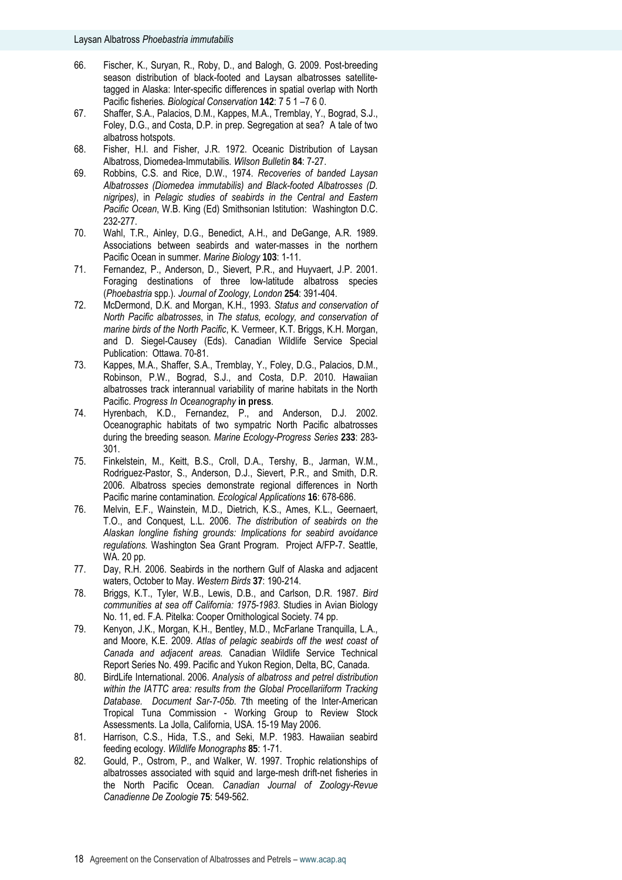- 66. Fischer, K., Suryan, R., Roby, D., and Balogh, G. 2009. Post-breeding season distribution of black-footed and Laysan albatrosses satellitetagged in Alaska: Inter-specific differences in spatial overlap with North Pacific fisheries*. Biological Conservation* **142**: 7 5 1 –7 6 0.
- 67. Shaffer, S.A., Palacios, D.M., Kappes, M.A., Tremblay, Y., Bograd, S.J., Foley, D.G., and Costa, D.P. in prep. Segregation at sea? A tale of two albatross hotspots.
- 68. Fisher, H.I. and Fisher, J.R. 1972. Oceanic Distribution of Laysan Albatross, Diomedea-Immutabilis*. Wilson Bulletin* **84**: 7-27.
- 69. Robbins, C.S. and Rice, D.W., 1974. *Recoveries of banded Laysan Albatrosses (Diomedea immutabilis) and Black-footed Albatrosses (D. nigripes)*, in *Pelagic studies of seabirds in the Central and Eastern Pacific Ocean*, W.B. King (Ed) Smithsonian Istitution: Washington D.C. 232-277.
- 70. Wahl, T.R., Ainley, D.G., Benedict, A.H., and DeGange, A.R. 1989. Associations between seabirds and water-masses in the northern Pacific Ocean in summer*. Marine Biology* **103**: 1-11.
- 71. Fernandez, P., Anderson, D., Sievert, P.R., and Huyvaert, J.P. 2001. Foraging destinations of three low-latitude albatross species (*Phoebastria* spp.)*. Journal of Zoology, London* **254**: 391-404.
- 72. McDermond, D.K. and Morgan, K.H., 1993. *Status and conservation of North Pacific albatrosses*, in *The status, ecology, and conservation of marine birds of the North Pacific*, K. Vermeer, K.T. Briggs, K.H. Morgan, and D. Siegel-Causey (Eds). Canadian Wildlife Service Special Publication: Ottawa. 70-81.
- 73. Kappes, M.A., Shaffer, S.A., Tremblay, Y., Foley, D.G., Palacios, D.M., Robinson, P.W., Bograd, S.J., and Costa, D.P. 2010. Hawaiian albatrosses track interannual variability of marine habitats in the North Pacific. *Progress In Oceanography* **in press**.
- 74. Hyrenbach, K.D., Fernandez, P., and Anderson, D.J. 2002. Oceanographic habitats of two sympatric North Pacific albatrosses during the breeding season*. Marine Ecology-Progress Series* **233**: 283- 301.
- 75. Finkelstein, M., Keitt, B.S., Croll, D.A., Tershy, B., Jarman, W.M., Rodriguez-Pastor, S., Anderson, D.J., Sievert, P.R., and Smith, D.R. 2006. Albatross species demonstrate regional differences in North Pacific marine contamination*. Ecological Applications* **16**: 678-686.
- 76. Melvin, E.F., Wainstein, M.D., Dietrich, K.S., Ames, K.L., Geernaert, T.O., and Conquest, L.L. 2006. *The distribution of seabirds on the Alaskan longline fishing grounds: Implications for seabird avoidance regulations.* Washington Sea Grant Program. Project A/FP-7. Seattle, WA. 20 pp.
- 77. Day, R.H. 2006. Seabirds in the northern Gulf of Alaska and adjacent waters, October to May. *Western Birds* **37**: 190-214.
- 78. Briggs, K.T., Tyler, W.B., Lewis, D.B., and Carlson, D.R. 1987. *Bird communities at sea off California: 1975-1983*. Studies in Avian Biology No. 11, ed. F.A. Pitelka: Cooper Ornithological Society. 74 pp.
- 79. Kenyon, J.K., Morgan, K.H., Bentley, M.D., McFarlane Tranquilla, L.A., and Moore, K.E. 2009. *Atlas of pelagic seabirds off the west coast of Canada and adjacent areas.* Canadian Wildlife Service Technical Report Series No. 499. Pacific and Yukon Region, Delta, BC, Canada.
- 80. BirdLife International. 2006. *Analysis of albatross and petrel distribution within the IATTC area: results from the Global Procellariiform Tracking Database. Document Sar-7-05b*. 7th meeting of the Inter-American Tropical Tuna Commission - Working Group to Review Stock Assessments. La Jolla, California, USA. 15-19 May 2006.
- 81. Harrison, C.S., Hida, T.S., and Seki, M.P. 1983. Hawaiian seabird feeding ecology. *Wildlife Monographs* **85**: 1-71.
- 82. Gould, P., Ostrom, P., and Walker, W. 1997. Trophic relationships of albatrosses associated with squid and large-mesh drift-net fisheries in the North Pacific Ocean*. Canadian Journal of Zoology-Revue Canadienne De Zoologie* **75**: 549-562.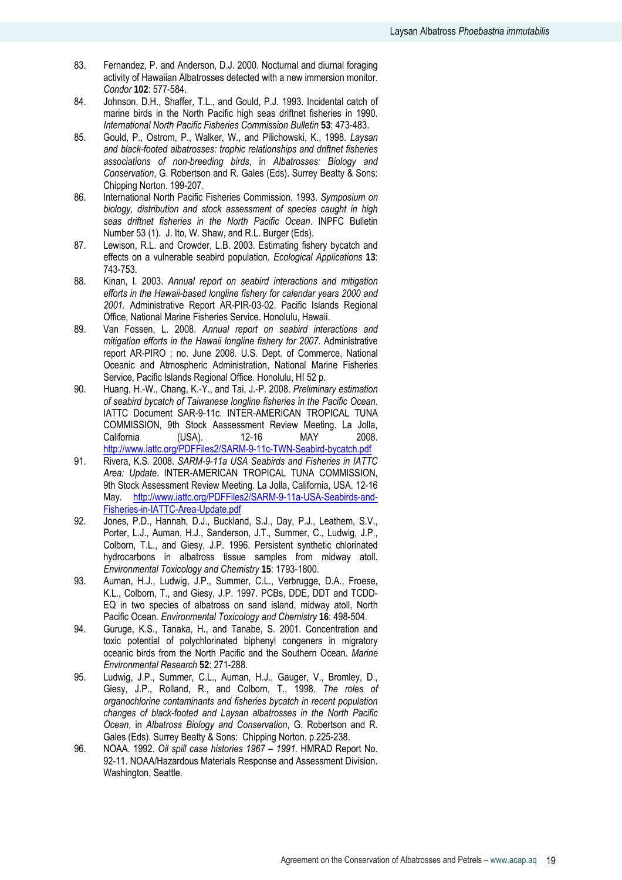- 83. Fernandez, P. and Anderson, D.J. 2000. Nocturnal and diurnal foraging activity of Hawaiian Albatrosses detected with a new immersion monitor*. Condor* **102**: 577-584.
- 84. Johnson, D.H., Shaffer, T.L., and Gould, P.J. 1993. Incidental catch of marine birds in the North Pacific high seas driftnet fisheries in 1990. *International North Pacific Fisheries Commission Bulletin* **53**: 473-483.
- 85. Gould, P., Ostrom, P., Walker, W., and Pilichowski, K., 1998. *Laysan and black-footed albatrosses: trophic relationships and driftnet fisheries associations of non-breeding birds*, in *Albatrosses: Biology and Conservation*, G. Robertson and R. Gales (Eds). Surrey Beatty & Sons: Chipping Norton. 199-207.
- 86. International North Pacific Fisheries Commission. 1993. *Symposium on biology, distribution and stock assessment of species caught in high seas driftnet fisheries in the North Pacific Ocean*. INPFC Bulletin Number 53 (1). J. Ito, W. Shaw, and R.L. Burger (Eds).
- 87. Lewison, R.L. and Crowder, L.B. 2003. Estimating fishery bycatch and effects on a vulnerable seabird population*. Ecological Applications* **13**: 743-753.
- 88. Kinan, I. 2003. *Annual report on seabird interactions and mitigation efforts in the Hawaii-based longline fishery for calendar years 2000 and 2001.* Administrative Report AR-PIR-03-02. Pacific Islands Regional Office, National Marine Fisheries Service. Honolulu, Hawaii.
- 89. Van Fossen, L. 2008. *Annual report on seabird interactions and mitigation efforts in the Hawaii longline fishery for 2007.* Administrative report AR-PIRO ; no. June 2008. U.S. Dept. of Commerce, National Oceanic and Atmospheric Administration, National Marine Fisheries Service, Pacific Islands Regional Office. Honolulu, HI 52 p.
- 90. Huang, H.-W., Chang, K.-Y., and Tai, J.-P. 2008. *Preliminary estimation of seabird bycatch of Taiwanese longline fisheries in the Pacific Ocean*. IATTC Document SAR-9-11c. INTER-AMERICAN TROPICAL TUNA COMMISSION, 9th Stock Aassessment Review Meeting. La Jolla, California (USA). 12-16 MAY 2008. http://www.iattc.org/PDFFiles2/SARM-9-11c-TWN-Seabird-bycatch.pdf
- 91. Rivera, K.S. 2008. *SARM-9-11a USA Seabirds and Fisheries in IATTC Area: Update*. INTER-AMERICAN TROPICAL TUNA COMMISSION, 9th Stock Assessment Review Meeting. La Jolla, California, USA. 12-16 May. http://www.iattc.org/PDFFiles2/SARM-9-11a-USA-Seabirds-and-Fisheries-in-IATTC-Area-Update.pdf
- 92. Jones, P.D., Hannah, D.J., Buckland, S.J., Day, P.J., Leathem, S.V., Porter, L.J., Auman, H.J., Sanderson, J.T., Summer, C., Ludwig, J.P., Colborn, T.L., and Giesy, J.P. 1996. Persistent synthetic chlorinated hydrocarbons in albatross tissue samples from midway atoll*. Environmental Toxicology and Chemistry* **15**: 1793-1800.
- 93. Auman, H.J., Ludwig, J.P., Summer, C.L., Verbrugge, D.A., Froese, K.L., Colborn, T., and Giesy, J.P. 1997. PCBs, DDE, DDT and TCDD-EQ in two species of albatross on sand island, midway atoll, North Pacific Ocean*. Environmental Toxicology and Chemistry* **16**: 498-504.
- 94. Guruge, K.S., Tanaka, H., and Tanabe, S. 2001. Concentration and toxic potential of polychlorinated biphenyl congeners in migratory oceanic birds from the North Pacific and the Southern Ocean*. Marine Environmental Research* **52**: 271-288.
- 95. Ludwig, J.P., Summer, C.L., Auman, H.J., Gauger, V., Bromley, D., Giesy, J.P., Rolland, R., and Colborn, T., 1998. *The roles of organochlorine contaminants and fisheries bycatch in recent population changes of black-footed and Laysan albatrosses in the North Pacific Ocean*, in *Albatross Biology and Conservation*, G. Robertson and R. Gales (Eds). Surrey Beatty & Sons: Chipping Norton. p 225-238.
- 96. NOAA. 1992. *Oil spill case histories 1967 1991.* HMRAD Report No. 92-11. NOAA/Hazardous Materials Response and Assessment Division. Washington, Seattle.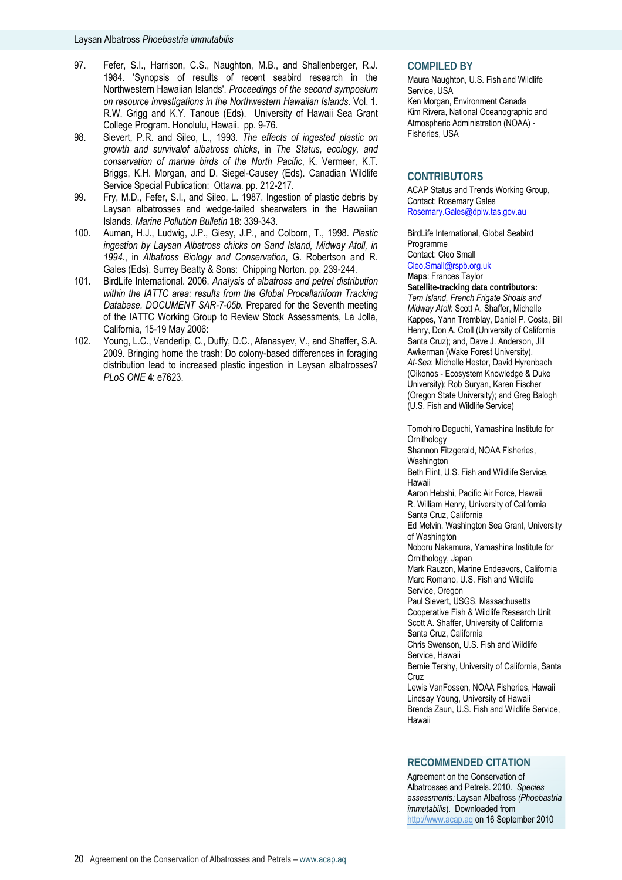- 97. Fefer, S.I., Harrison, C.S., Naughton, M.B., and Shallenberger, R.J. 1984. 'Synopsis of results of recent seabird research in the Northwestern Hawaiian Islands'. *Proceedings of the second symposium on resource investigations in the Northwestern Hawaiian Islands.* Vol. 1. R.W. Grigg and K.Y. Tanoue (Eds). University of Hawaii Sea Grant College Program. Honolulu, Hawaii. pp. 9-76.
- 98. Sievert, P.R. and Sileo, L., 1993. *The effects of ingested plastic on growth and survivalof albatross chicks*, in *The Status, ecology, and conservation of marine birds of the North Pacific*, K. Vermeer, K.T. Briggs, K.H. Morgan, and D. Siegel-Causey (Eds). Canadian Wildlife Service Special Publication: Ottawa. pp. 212-217.
- 99. Fry, M.D., Fefer, S.I., and Sileo, L. 1987. Ingestion of plastic debris by Laysan albatrosses and wedge-tailed shearwaters in the Hawaiian Islands*. Marine Pollution Bulletin* **18**: 339-343.
- 100. Auman, H.J., Ludwig, J.P., Giesy, J.P., and Colborn, T., 1998. *Plastic ingestion by Laysan Albatross chicks on Sand Island, Midway Atoll, in 1994.*, in *Albatross Biology and Conservation*, G. Robertson and R. Gales (Eds). Surrey Beatty & Sons: Chipping Norton. pp. 239-244.
- 101. BirdLife International. 2006. *Analysis of albatross and petrel distribution*  within the IATTC area: results from the Global Procellariiform Tracking *Database. DOCUMENT SAR-7-05b.* Prepared for the Seventh meeting of the IATTC Working Group to Review Stock Assessments, La Jolla, California, 15-19 May 2006:
- 102. Young, L.C., Vanderlip, C., Duffy, D.C., Afanasyev, V., and Shaffer, S.A. 2009. Bringing home the trash: Do colony-based differences in foraging distribution lead to increased plastic ingestion in Laysan albatrosses? *PLoS ONE* **4**: e7623.

#### **COMPILED BY**

Maura Naughton, U.S. Fish and Wildlife Service, USA Ken Morgan, Environment Canada Kim Rivera, National Oceanographic and Atmospheric Administration (NOAA) - Fisheries, USA

### **CONTRIBUTORS**

ACAP Status and Trends Working Group, Contact: Rosemary Gales Rosemary.Gales@dpiw.tas.gov.au

BirdLife International, Global Seabird Programme Contact: Cleo Small

Cleo.Small@rspb.org.uk

**Maps**: Frances Taylor **Satellite-tracking data contributors:**  *Tern Island, French Frigate Shoals and Midway Atoll*: Scott A. Shaffer, Michelle Kappes, Yann Tremblay, Daniel P. Costa, Bill Henry, Don A. Croll (University of California Santa Cruz); and, Dave J. Anderson, Jill Awkerman (Wake Forest University). *At-Sea*: Michelle Hester, David Hyrenbach (Oikonos - Ecosystem Knowledge & Duke University); Rob Suryan, Karen Fischer (Oregon State University); and Greg Balogh (U.S. Fish and Wildlife Service)

Tomohiro Deguchi, Yamashina Institute for **Ornithology** 

Shannon Fitzgerald, NOAA Fisheries, Washington

Beth Flint, U.S. Fish and Wildlife Service, Hawaii

Aaron Hebshi, Pacific Air Force, Hawaii R. William Henry, University of California

Santa Cruz, California

Ed Melvin, Washington Sea Grant, University of Washington

Noboru Nakamura, Yamashina Institute for Ornithology, Japan

Mark Rauzon, Marine Endeavors, California Marc Romano, U.S. Fish and Wildlife Service, Oregon

Paul Sievert, USGS, Massachusetts Cooperative Fish & Wildlife Research Unit Scott A. Shaffer, University of California Santa Cruz, California

Chris Swenson, U.S. Fish and Wildlife Service, Hawaii

Bernie Tershy, University of California, Santa Cruz

Lewis VanFossen, NOAA Fisheries, Hawaii Lindsay Young, University of Hawaii Brenda Zaun, U.S. Fish and Wildlife Service, Hawaii

### **RECOMMENDED CITATION**

Agreement on the Conservation of Albatrosses and Petrels. 2010*. Species assessments:* Laysan Albatross *(Phoebastria immutabilis*). Downloaded from http://www.acap.aq on 16 September 2010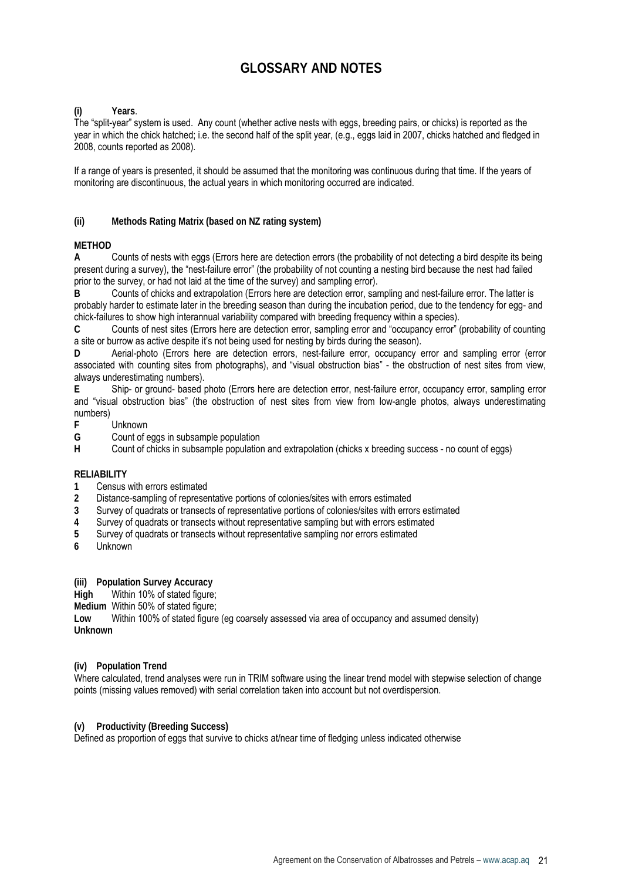## **GLOSSARY AND NOTES**

### **(i) Years**.

The "split-year" system is used. Any count (whether active nests with eggs, breeding pairs, or chicks) is reported as the year in which the chick hatched; i.e. the second half of the split year, (e.g., eggs laid in 2007, chicks hatched and fledged in 2008, counts reported as 2008).

If a range of years is presented, it should be assumed that the monitoring was continuous during that time. If the years of monitoring are discontinuous, the actual years in which monitoring occurred are indicated.

### **(ii) Methods Rating Matrix (based on NZ rating system)**

### **METHOD**

**A** Counts of nests with eggs (Errors here are detection errors (the probability of not detecting a bird despite its being present during a survey), the "nest-failure error" (the probability of not counting a nesting bird because the nest had failed prior to the survey, or had not laid at the time of the survey) and sampling error).

**B** Counts of chicks and extrapolation (Errors here are detection error, sampling and nest-failure error. The latter is probably harder to estimate later in the breeding season than during the incubation period, due to the tendency for egg- and chick-failures to show high interannual variability compared with breeding frequency within a species).

**C** Counts of nest sites (Errors here are detection error, sampling error and "occupancy error" (probability of counting a site or burrow as active despite it's not being used for nesting by birds during the season).

**D** Aerial-photo (Errors here are detection errors, nest-failure error, occupancy error and sampling error (error associated with counting sites from photographs), and "visual obstruction bias" - the obstruction of nest sites from view, always underestimating numbers).

**E** Ship- or ground- based photo (Errors here are detection error, nest-failure error, occupancy error, sampling error and "visual obstruction bias" (the obstruction of nest sites from view from low-angle photos, always underestimating numbers)

### **F** Unknown

**G** Count of eggs in subsample population

**H** Count of chicks in subsample population and extrapolation (chicks x breeding success - no count of eggs)

#### **RELIABILITY**

- **1** Census with errors estimated
- **2** Distance-sampling of representative portions of colonies/sites with errors estimated
- **3** Survey of quadrats or transects of representative portions of colonies/sites with errors estimated
- **4** Survey of quadrats or transects without representative sampling but with errors estimated
- **5** Survey of quadrats or transects without representative sampling nor errors estimated

**6** Unknown

**(iii) Population Survey Accuracy** 

**High** Within 10% of stated figure;

**Medium** Within 50% of stated figure;

**Low** Within 100% of stated figure (eg coarsely assessed via area of occupancy and assumed density) **Unknown** 

#### **(iv) Population Trend**

Where calculated, trend analyses were run in TRIM software using the linear trend model with stepwise selection of change points (missing values removed) with serial correlation taken into account but not overdispersion.

#### **(v) Productivity (Breeding Success)**

Defined as proportion of eggs that survive to chicks at/near time of fledging unless indicated otherwise